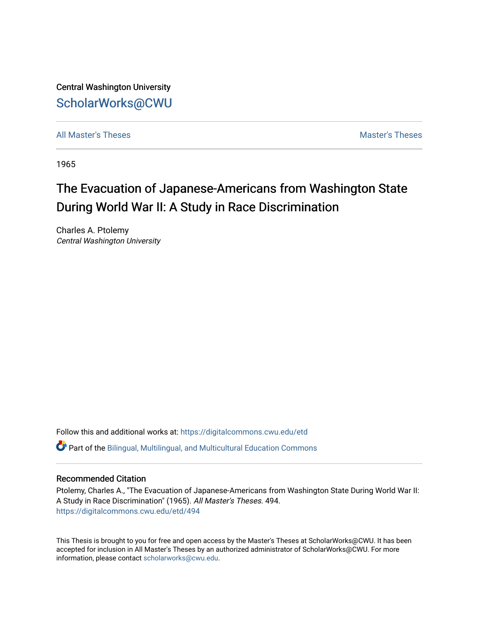Central Washington University [ScholarWorks@CWU](https://digitalcommons.cwu.edu/) 

[All Master's Theses](https://digitalcommons.cwu.edu/etd) and the set of the set of the set of the set of the set of the set of the set of the set of the set of the set of the set of the set of the set of the set of the set of the set of the set of the set of

1965

# The Evacuation of Japanese-Americans from Washington State During World War II: A Study in Race Discrimination

Charles A. Ptolemy Central Washington University

Follow this and additional works at: [https://digitalcommons.cwu.edu/etd](https://digitalcommons.cwu.edu/etd?utm_source=digitalcommons.cwu.edu%2Fetd%2F494&utm_medium=PDF&utm_campaign=PDFCoverPages)   $\bullet$  Part of the Bilingual, Multilingual, and Multicultural Education Commons

# Recommended Citation

Ptolemy, Charles A., "The Evacuation of Japanese-Americans from Washington State During World War II: A Study in Race Discrimination" (1965). All Master's Theses. 494. [https://digitalcommons.cwu.edu/etd/494](https://digitalcommons.cwu.edu/etd/494?utm_source=digitalcommons.cwu.edu%2Fetd%2F494&utm_medium=PDF&utm_campaign=PDFCoverPages) 

This Thesis is brought to you for free and open access by the Master's Theses at ScholarWorks@CWU. It has been accepted for inclusion in All Master's Theses by an authorized administrator of ScholarWorks@CWU. For more information, please contact [scholarworks@cwu.edu.](mailto:scholarworks@cwu.edu)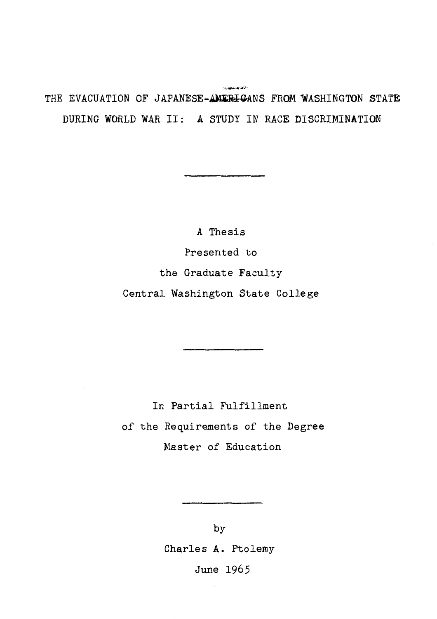المتخط والمستعلقة وتعذر THE EVACUATION OF JAPANESE-AMERICANS FROM WASHINGTON STATE DURING WORLD WAR II: A STUDY IN RACE DISCRIMINATION

> A Thesis Presented to the Graduate Faculty Central Washington State College

In Partial Fulfillment of the Requirements of the Degree Master of Education

> by Charles A. Ptolemy June 1965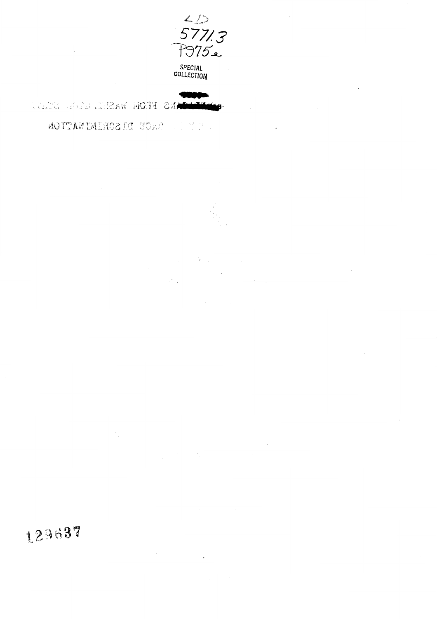

 $\label{eq:2.1} \mathcal{L}_{\mathcal{A}} = \mathcal{L}_{\mathcal{A}} = \mathcal{L}_{\mathcal{A}} \mathcal{L}_{\mathcal{A}} = \mathcal{L}_{\mathcal{A}} \mathcal{L}_{\mathcal{A}} = \mathcal{L}_{\mathcal{A}} \mathcal{L}_{\mathcal{A}}$ 

 $\ddot{\phantom{a}}$ 

 $\label{eq:2.1} \frac{1}{\sqrt{2}}\sum_{i=1}^n\frac{1}{\sqrt{2}}\sum_{i=1}^n\frac{1}{\sqrt{2}}\sum_{i=1}^n\frac{1}{\sqrt{2}}\sum_{i=1}^n\frac{1}{\sqrt{2}}\sum_{i=1}^n\frac{1}{\sqrt{2}}\sum_{i=1}^n\frac{1}{\sqrt{2}}\sum_{i=1}^n\frac{1}{\sqrt{2}}\sum_{i=1}^n\frac{1}{\sqrt{2}}\sum_{i=1}^n\frac{1}{\sqrt{2}}\sum_{i=1}^n\frac{1}{\sqrt{2}}\sum_{i=1}^n\frac$ 

**., E. D. WASHERT AND STRAIGHT** 

CONTRAINMENT OR SCRIBEINAL MATTEN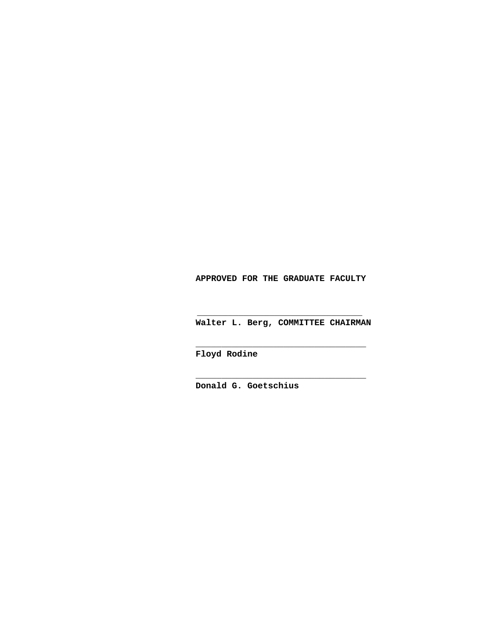**APPROVED FOR THE GRADUATE FACULTY**

**\_\_\_\_\_\_\_\_\_\_\_\_\_\_\_\_\_\_\_\_\_\_\_\_\_\_\_\_\_\_\_\_ Walter L. Berg, COMMITTEE CHAIRMAN**

 **\_\_\_\_\_\_\_\_\_\_\_\_\_\_\_\_\_\_\_\_\_\_\_\_\_\_\_\_\_\_\_\_\_**

**Floyd Rodine**

 **\_\_\_\_\_\_\_\_\_\_\_\_\_\_\_\_\_\_\_\_\_\_\_\_\_\_\_\_\_\_\_\_\_**

**Donald G. Goetschius**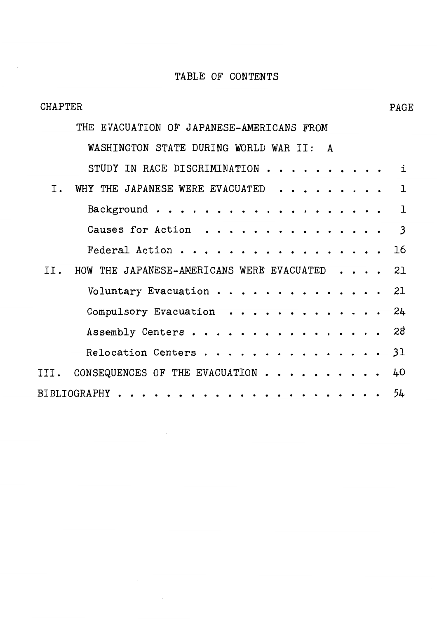# TABLE OF CONTENTS

| <b>CHAPTER</b>                                   | PAGE        |
|--------------------------------------------------|-------------|
| THE EVACUATION OF JAPANESE-AMERICANS FROM        |             |
| WASHINGTON STATE DURING WORLD WAR II:<br>A       |             |
| STUDY IN RACE DISCRIMINATION                     | i           |
| WHY THE JAPANESE WERE EVACUATED<br>T.<br>.       | 1           |
| Background $\cdots$                              | $\mathbf 1$ |
| Causes for Action                                | 3           |
| Federal Action                                   | 16          |
| HOW THE JAPANESE-AMERICANS WERE EVACUATED<br>II. | 21          |
| Voluntary Evacuation                             | 21          |
| Compulsory Evacuation $\cdots$                   | 24          |
| Assembly Centers                                 | 28          |
| Relocation Centers                               | 31          |
| CONSEQUENCES OF THE EVACUATION<br>III.           | 40          |
|                                                  | 54          |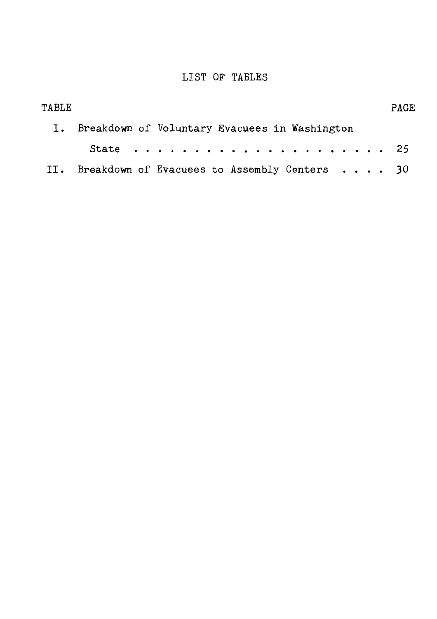# LIST OF TABLES

| TABLE |                                                  | PAGE. |
|-------|--------------------------------------------------|-------|
|       | I. Breakdown of Voluntary Evacuees in Washington |       |
|       | State $\ldots$ 25                                |       |
|       | II. Breakdown of Evacuees to Assembly Centers 30 |       |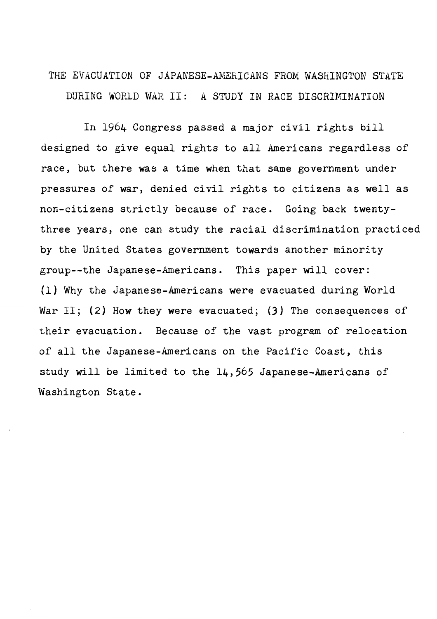THE EVACUATION OF JAPANESE-AMERICANS FROM WASHINGTON STATE DURING WORLD WAR II: A STUDY IN RACE DISCRIMINATION

In 1964 Congress passed a major civil rights bill designed to give equal rights to all Americans regardless of race, but there was a time when that same government under pressures of war, denied civil rights to citizens as well as non-citizens strictly because of race. Going back twentythree years, one can study the racial discrimination practiced by the United States government towards another minority group--the Japanese-Americans. This paper will cover: (1) Why the Japanese-Americans were evacuated during World War II; (2) How they were evacuated; (3) The consequences of their evacuation. Because of the vast program of relocation of all the Japanese-Americans on the Pacific Coast, this study will be limited to the 14,565 Japanese-Americans of Washington State.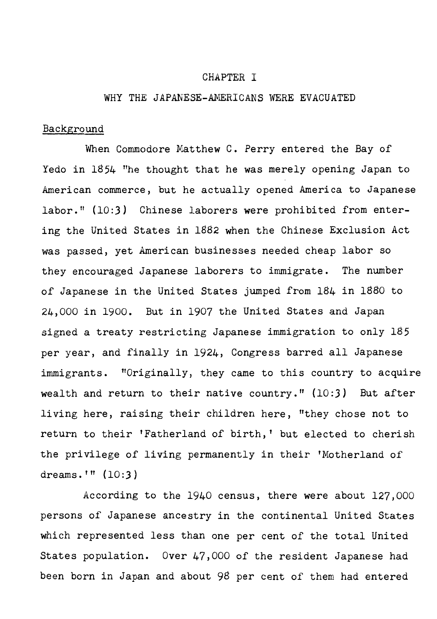#### CHAPTER I

#### WHY THE JAPANESE-AMERICANS WERE EVACUATED

#### Background

When Commodore Matthew C. Perry entered the Bay of Yedo in 1854 "he thought that he was merely opening Japan to American commerce, but he actually opened America to Japanese labor."  $(10:3)$  Chinese laborers were prohibited from entering the United States in 1882 when the Chinese Exclusion Act was passed, yet American businesses needed cheap labor so they encouraged Japanese laborers to immigrate. The number of Japanese in the United States jumped from 184 in 1880 to 24,000 in 1900. But in 1907 the United States and Japan signed a treaty restricting Japanese immigration to only 185 per year, and finally in 1924, Congress barred all Japanese immigrants. "Originally, they came to this country to acquire wealth and return to their native country." (10:3) But after living here, raising their children here, "they chose not to return to their 'Fatherland of birth,' but elected to cherish the privilege of living permanently in their 'Motherland of dreams.'"  $(10:3)$ 

According to the 1940 census, there were about 127,000 persons of Japanese ancestry in the continental United States which represented less than one per cent of the total United States population. Over 47,000 of the resident Japanese had been born in Japan and about 98 per cent of them had entered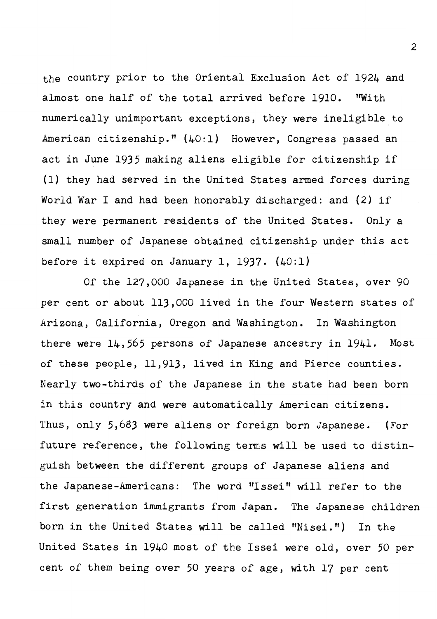the country prior to the Oriental Exclusion Act of 1924 and almost one half of the total arrived before 1910. "With numerically unimportant exceptions, they were ineligible to American citizenship." (40:1) However, Congress passed an act in June 1935 making aliens eligible for citizenship if (1) they had served in the United States armed forces during World War I and had been honorably discharged: and (2) if they were permanent residents of the United States. Only a small number of Japanese obtained citizenship under this act before it expired on January 1, 1937. (40:1)

Of the 127,000 Japanese in the United States, over 90 per cent or about 113,000 lived in the four Western states of Arizona, California, Oregon and Washington. In Washington there were 14,565 persons of Japanese ancestry in 1941. Most of these people, 11,913, lived in King and Pierce counties. Nearly two-thirds of the Japanese in the state had been born in this country and were automatically American citizens. Thus, only 5,683 were aliens or foreign born Japanese. (For future reference, the following terms will be used to distinguish between the different groups of Japanese aliens and the Japanese-Americans: The word "Issei" will refer to the first generation immigrants from Japan. The Japanese children born in the United States will be called "Nisei.") In the United States in 1940 most of the Issei were old, over 50 per cent of them being over 50 years of age, with 17 per cent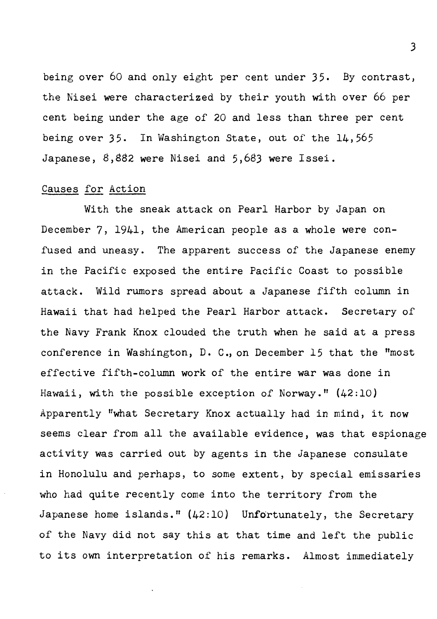being over 60 and only eight per cent under *35.* By contrast, the Nisei were characterized by their youth with over 66 per cent being under the age of 20 and less than three per cent being over 35. In Washington State, out of the 14,565 Japanese, 8,882 were Nisei and 5,683 were Issei.

# Causes for Action

With the sneak attack on Pearl Harbor by Japan on December 7, 1941, the American people as a whole were confused and uneasy. The apparent success of the Japanese enemy in the Pacific exposed the entire Pacific Coast to possible attack. Wild rumors spread about a Japanese fifth column in Hawaii that had helped the Pearl Harbor attack. Secretary of the Navy Frank Knox clouded the truth when he said at a press conference in Washington, D. C., on December 15 that the "most effective fifth-column work of the entire war was done in Hawaii, with the possible exception of Norway." (42:10) Apparently "what Secretary Knox actually had in mind, it now seems clear from all the available evidence, was that espionage activity was carried out by agents in the Japanese consulate in Honolulu and perhaps, to some extent, by special emissaries who had quite recently come into the territory from the Japanese home islands." (42:10) Unfortunately, the Secretary of the Navy did not say this at that time and left the public to its own interpretation of his remarks. Almost immediately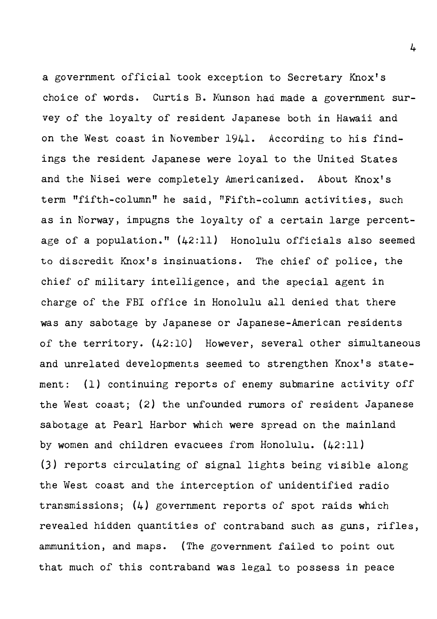a government official took exception to Secretary Knox's choice of words. Curtis B. Munson had made a government survey of the loyalty of resident Japanese both in Hawaii and on the West coast in November 1941. According to his findings the resident Japanese were loyal to the United States and the Nisei were completely Americanized. About Knox's term "fifth-column" he said, "Fifth-column activities, such as in Norway, impugns the loyalty of a certain large percentage of a population." (42:11) Honolulu officials also seemed to discredit Knox's insinuations. The chief of police, the chief of military intelligence, and the special agent in charge of the FBI office in Honolulu all denied that there was any sabotage by Japanese or Japanese-American residents of the territory. (42:10) However, several other simultaneous and unrelated developments seemed to strengthen Knox's statement: (1) continuing reports of enemy submarine activity off the West coast; (2) the unfounded rumors of resident Japanese sabotage at Pearl Harbor which were spread on the mainland by women and children evacuees from Honolulu. (42:11) (3) reports circulating of signal lights being visible along the West coast and the interception of unidentified radio transmissions; (4) government reports of spot raids which revealed hidden quantities of contraband such as guns, rifles, ammunition, and maps. (The government failed to point out that much of this contraband was legal to possess in peace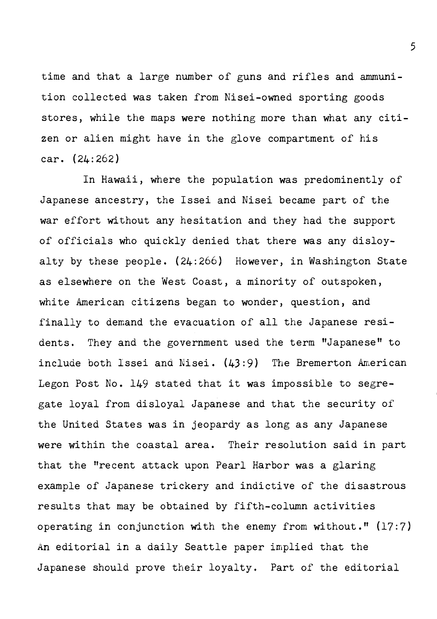time and that a large number of guns and rifles and ammunition collected was taken from Nisei-owned sporting goods stores, while the maps were nothing more than what any citizen or alien might have in the glove compartment of his car.  $(24:262)$ 

In Hawaii, where the population was predominently of Japanese ancestry, the Issei and Nisei became part of the war effort without any hesitation and they had the support of officials who quickly denied that there was any disloyalty by these people. (24:266) However, in Washington State as elsewhere on the West Coast, a minority of outspoken, white American citizens began to wonder, question, and finally to demand the evacuation of all the Japanese residents. They and the government used the term "Japanese" to include both lssei and Nisei. (43:9) The Bremerton American Legon Post No. 149 stated that it was impossible to segregate loyal from disloyal Japanese and that the security of the United States was in jeopardy as long as any Japanese were within the coastal area. Their resolution said in part that the "recent attack upon Pearl Harbor was a glaring example of Japanese trickery and indictive of the disastrous results that may be obtained by fifth-column activities operating in conjunction with the enemy from without." (17:7) An editorial in a daily Seattle paper implied that the Japanese should prove their loyalty. Part of the editorial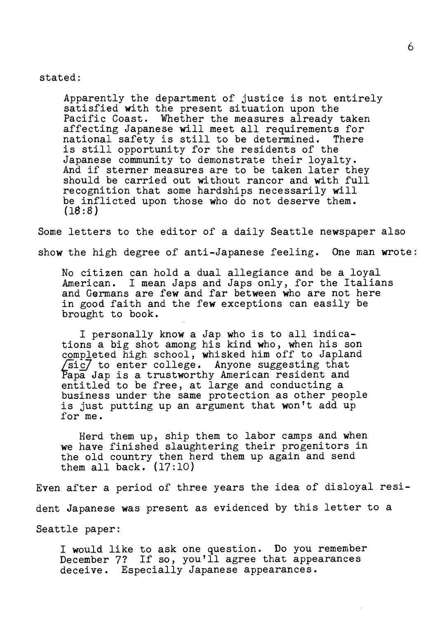#### stated:

Apparently the department of justice is not entirely satisfied with the present situation upon the Pacific Coast. Whether the measures already taken affecting Japanese will meet all requirements for<br>national safety is still to be determined. There national safety is still to be determined. is still opportunity for the residents of the Japanese community to demonstrate their loyalty. And if sterner measures are to be taken later they should be carried out without rancor and with full recognition that some hardships necessarily will be inflicted upon those who do not deserve them.  $(18:8)$ 

Some letters to the editor of a daily Seattle newspaper also show the high degree of anti-Japanese feeling. One man wrote:

No citizen can hold a dual allegiance and be *a* loyal American. I mean Japs and Japs only, for the Italians and Germans are few and far between who are not here in good faith and the few exceptions can easily be brought to book.

I personally know a Jap who is to all indications a big shot among his kind who, when his son completed high school, whisked him off to Japland  $/\text{sic}$  to enter college. Anyone suggesting that Papa Jap is *a* trustworthy American resident and entitled to be free, at large and conducting a business under the same protection as other people is just putting up an argument that won't add up for me.

Herd them up, ship them to labor camps and when we have finished slaughtering their progenitors in the old country then herd them up again and send them all back. (17:10)

Even after a period of three years the idea of disloyal resident Japanese was present as evidenced by this letter to a

Seattle paper:

I would like to ask one question. Do you remember December 7? If so, you'll agree that appearances deceive. Especially Japanese appearances.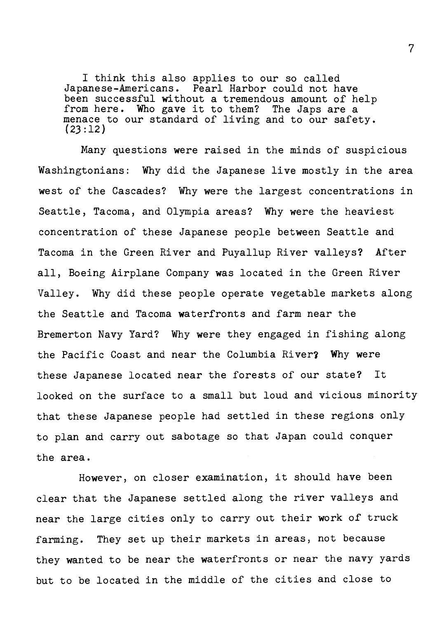I think this also applies to our so called Japanese-Americans. Pearl Harbor could not have been successful without a tremendous amount of help from here. Who gave it to them? The Japs are a menace to our standard of living and to our safety.<br>(23:12)

Many questions were raised in the minds of suspicious Washingtonians: Why did the Japanese live mostly in the area west of the Cascades? Why were the largest concentrations in Seattle, Tacoma, and Olympia areas? Why were the heaviest concentration of these Japanese people between Seattle and Tacoma in the Green River and Puyallup River valleys? After all, Boeing Airplane Company was located in the Green River Valley. Why did these people operate vegetable markets along the Seattle and Tacoma waterfronts and farm near the Bremerton Navy Yard? Why were they engaged in fishing along the Pacific Coast and near the Columbia River? Why were these Japanese located near the forests of our state? It looked on the surface to a small but loud and vicious minority that these Japanese people had settled in these regions only to plan and carry out sabotage so that Japan could conquer the area.

However, on closer examination, it should have been clear that the Japanese settled along the river valleys and near the large cities only to carry out their work of truck farming. They set up their markets in areas, not because they wanted to be near the waterfronts or near the navy yards but to be located in the middle of the cities and close to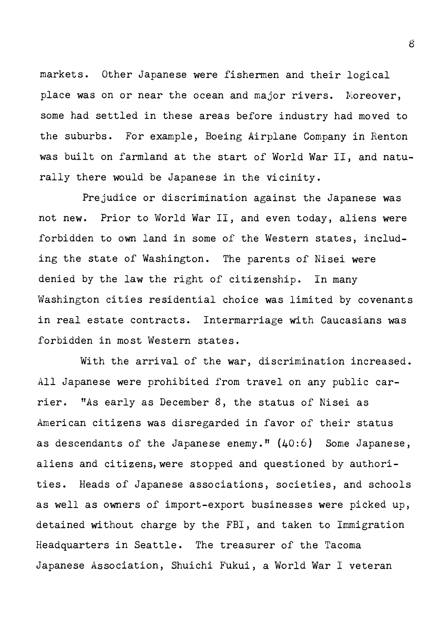markets. Other Japanese were fishermen and their logical place was on or near the ocean and major rivers. Noreover, some had settled in these areas before industry had moved to the suburbs. For example, Boeing Airplane Company in Renton was built on farmland at the start of World War II, and naturally there would be Japanese in the vicinity.

Prejudice or discrimination against the Japanese was not new. Prior to World War II, and even today, aliens were forbidden to own land in some of the Western states, including the state of Washington. The parents of Nisei were denied by the law the right of citizenship. In many Washington cities residential choice was limited by covenants in real estate contracts. Intermarriage with Caucasians was forbidden in most Western states.

With the arrival of the war, discrimination increased. All Japanese were prohibited from travel on any public carrier. "As early as December 8, the status of Nisei as American citizens was disregarded in favor of their status as descendants of the Japanese enemy."  $(40:6)$  Some Japanese, aliens and citizens, were stopped and questioned by authorities. Heads of Japanese associations, societies, and schools as well as owners of import-export businesses were picked up, detained without charge by the FBI, and taken to Immigration Headquarters in Seattle. The treasurer of the Tacoma Japanese Association, Shuichi Fukui, a World War I veteran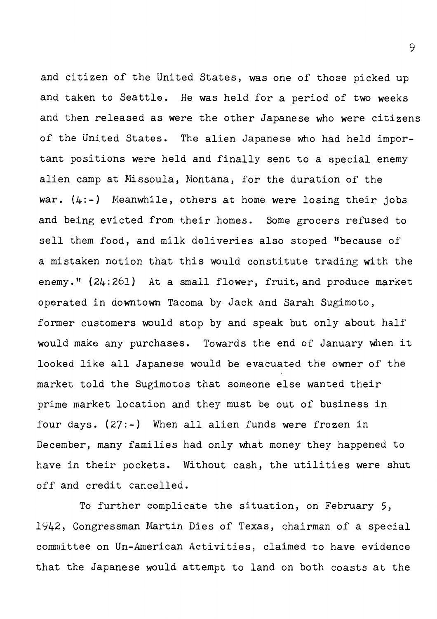and citizen of the United States, was one of those picked up and taken to Seattle. He was held for a period of two weeks and then released as were the other Japanese who were citizens of the United States. The alien Japanese who had held important positions were held and finally sent to a special enemy alien camp at Missoula, Montana, for the duration of the war.  $(4:-)$  Meanwhile, others at home were losing their jobs and being evicted from their homes. Some grocers refused to sell them food, and milk deliveries also stoped "because of a mistaken notion that this would constitute trading with the enemy." (24:261} At a small flower, fruit, and produce market operated in downtown Tacoma by Jack and Sarah Sugimoto, former customers would stop by and speak but only about half would make any purchases. Towards the end of January when it looked like all Japanese would be evacuated the owner of the market told the Sugimotos that someone else wanted their prime market location and they must be out of business in four days. (27:-) When all alien funds were frozen in December, many families had only what money they happened to have in their pockets. Without cash, the utilities were shut off and credit cancelled.

To further complicate the situation, on February 5, 1942, Congressman Martin Dies of Texas, chairman of a special committee on Un-American Activities, claimed to have evidence that the Japanese would attempt to land on both coasts at the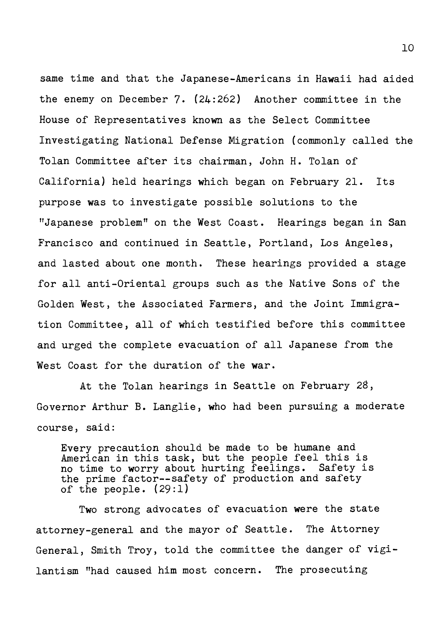same time and that the Japanese-Americans in Hawaii had aided the enemy on December 7. (24:262) Another committee in the House of Representatives known as the Select Committee Investigating National Defense Migration (commonly called the Tolan Committee after its chairman, John H. Tolan of California) held hearings which began on February 21. Its purpose was to investigate possible solutions to the "Japanese problem" on the West Coast. Hearings began in San Francisco and continued in Seattle, Portland, Los Angeles, and lasted about one month. These hearings provided a stage for all anti-Oriental groups such as the Native Sons of the Golden West, the Associated Farmers, and the Joint Immigration Committee, all of which testified before this committee and urged the complete evacuation of all Japanese from the West Coast for the duration of the war.

At the Tolan hearings in Seattle on February 28, Governor Arthur B. Langlie, who had been pursuing a moderate course, said:

Every precaution should be made to be humane and Every precaution should be made to be humane and<br>American in this task, but the people feel this is no time to worry about hurting feelings. Safety is no time to worry about hurting feelings. Safety is<br>the prime factor--safety of production and safety of the people. (29:1)

Two strong advocates of evacuation were the state attorney-general and the mayor of Seattle. The Attorney General, Smith Troy, told the committee the danger of vigilantism "had caused him most concern. The prosecuting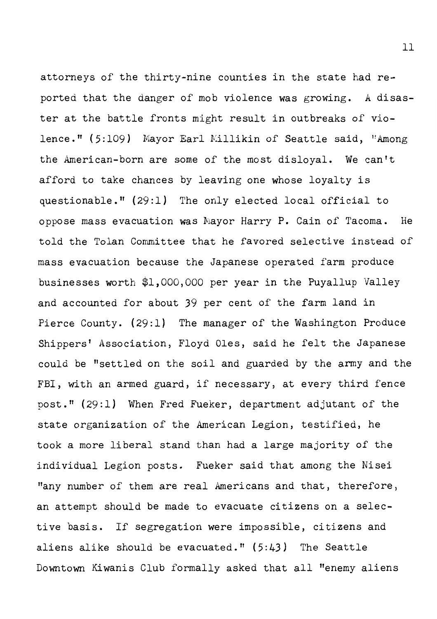attorneys of the thirty-nine counties in the state had reported that the danger of mob violence was growing. A disaster at the battle fronts might result in outbreaks of violence." (5:109) Mayor Earl Millikin of Seattle said, "Among the American-born are some of the most disloyal. We can't afford to take chances by leaving one whose loyalty is questionable." (29:1) The only elected local official to oppose mass evacuation was Mayor Harry P. Cain of Tacoma. He told the Tolan Committee that he favored selective instead of mass evacuation because the Japanese operated farm produce businesses worth \$1,000,000 per year in the Puyallup Valley and accounted for about 39 per cent of the farm land in Pierce County. (29:1) The manager of the Washington Produce Shippers' Association, Floyd Oles, said he felt the Japanese could be "settled on the soil and guarded by the army and the FBI, with an armed guard, if necessary, at every third fence post." (29:1) When Fred Fueker, department adjutant of the state organization of the American Legion, testified, he took a more liberal stand than had a large majority of the individual Legion posts. Fueker said that among the Nisei "any number of them are real Americans and that, therefore, an attempt should be made to evacuate citizens on a selective basis. If segregation were impossible, citizens and aliens alike should be evacuated."  $(5:43)$  The Seattle Downtown Kiwanis Club formally asked that all "enemy aliens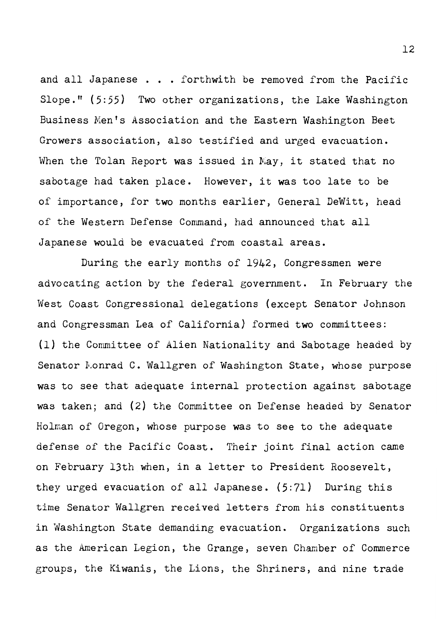and all Japanese  $\ldots$  forthwith be removed from the Pacific Slope." (5:55) Two other organizations, the Lake Washington Business Men's Association and the Eastern Washington Beet Growers association, also testified and urged evacuation. When the Tolan Report was issued in  $May$ , it stated that no sabotage had taken place. However, it was too late to be of importance, for two months earlier, General DeWitt, head of the Western Defense Command, had announced that all Japanese would be evacuated from coastal areas.

During the early months of 1942, Congressmen were advocating action by the federal government. In February the West Coast Congressional delegations (except Senator Johnson and Congressman Lea of California) formed two committees: (1) the Committee of Alien Nationality and Sabotage headed by Senator Monrad C. Wallgren of Washington State, whose purpose was to see that adequate internal protection against sabotage was taken; and (2) the Committee on Defense headed by Senator Holman of Oregon, whose purpose was to see to the adequate defense of the Pacific Coast. Their joint final action came on February 13th when, in a letter to President Roosevelt, they urged evacuation of all Japanese. (5:71) During this time Senator Wallgren received letters from his constituents in Washington State demanding evacuation. Organizations such as the American Legion, the Grange, seven Chamber of Commerce groups, the Kiwanis, the Lions, the Shriners, and nine trade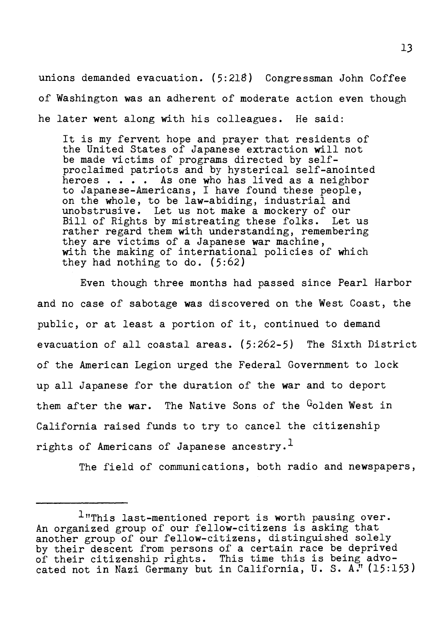unions demanded evacuation. (5:218) Congressman John Coffee of Washington was an adherent of moderate action even though he later went along with his colleagues. He said:

It is my fervent hope and prayer that residents of the United States of Japanese extraction will not be made victims of programs directed by selfproclaimed patriots and by hysterical self-anointed heroes  $\ldots$   $\ldots$  As one who has lived as a neighbor to Japanese-Americans, I have found these people, on the whole, to be law-abiding, industrial and unobstrusive. Let us not make a mockery of our Bill of Rights by mistreating these folks. Let us rather regard them with understanding, remembering they are victims of a Japanese war machine, with the making of international policies of which they had nothing to do.  $(5:62)$ 

Even though three months had passed since Pearl Harbor and no case of sabotage was discovered on the West Coast, the public, or at least a portion of it, continued to demand evacuation of all coastal areas. (5:262-5) The Sixth District of the American Legion urged the Federal Government to lock up all Japanese for the duration of the war and to deport them after the war. The Native Sons of the <sup>G</sup>olden West in California raised funds to try to cancel the citizenship rights of Americans of Japanese ancestry.<sup>1</sup>

The field of communications, both radio and newspapers,

l"This last-mentioned report is worth pausing over. An organized group of our fellow-citizens is asking that another group of our fellow-citizens, distinguished solely by their descent from persons of a certain race be deprived of their citizenship rights. This time this is being advocated not in Nazi Germany but in California, U. S. A." (15:153)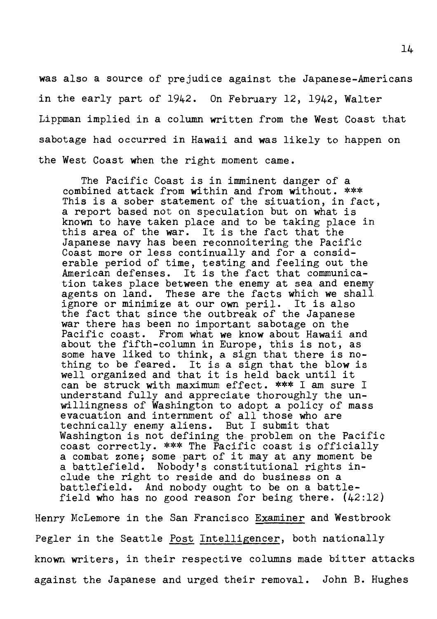was also a source of prejudice against the Japanese-Americans in the early part of 1942. On February 12, 1942, Walter Lippman implied in a column written from the West Coast that sabotage had occurred in Hawaii and was likely to happen on the West Coast when the right moment came.

The Pacific Coast is in imminent danger of a combined attack from within and from without. \*\*\* This is a sober statement of the situation, in fact, a report based not on speculation but on what is known to have taken place and to be taking place in this area of the war. It is the fact that the Japanese navy has been reconnoitering the Pacific Coast more or less continually and for a considerable period of time, testing and feeling out the American defenses. It is the fact that communication takes place between the enemy at sea and enemy agents on land. These are the facts which we shall ignore or minimize at our own peril. It is also the fact that since the outbreak of the Japanese war there has been no important sabotage on the Pacific coast. From what we know about Hawaii and about the fifth-column in Europe, this is not, as some have liked to think, a sign that there is nothing to be feared. It is a sign that the blow is well organized and that it is held back until it can be struck with maximum effect. \*\*\* I am sure I understand fully and appreciate thoroughly the unwillingness of Washington to adopt a policy of mass evacuation and internment of all those who are technically enemy aliens. But I submit that Washington is not defining the problem on the Pacific coast correctly. \*\*\* The Pacific coast is officially a combat zone; some part of it may at any moment be a battlefield. Nobody's constitutional rights include the right to reside and do business on a battlefield. And nobody ought to be on a battlefield who has no good reason for being there.  $(42:12)$ 

Henry McLemore in the San Francisco Examiner and Westbrook Pegler in the Seattle Post Intelligencer, both nationally known writers, in their respective columns made bitter attacks against the Japanese and urged their removal. John B. Hughes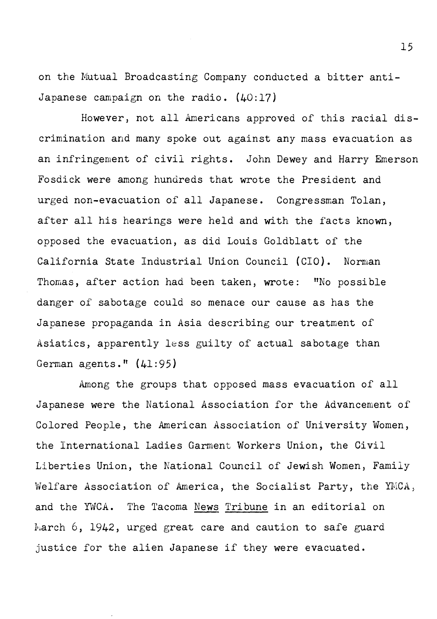on the Mutual Broadcasting Company conducted a bitter anti-Japanese campaign on the radio. (40:17)

However, not all Americans approved of this racial discrimination and many spoke out against any mass evacuation as an infringement of civil rights. John Dewey and Harry Emerson Fosdick were among hundreds that wrote the President and urged non-evacuation of all Japanese. Congressman Tolan, after all his hearings were held and with the facts known, opposed the evacuation, as did Louis Goldblatt of the California State Industrial Union Council (CIO). Norman Thomas, after action had been taken, wrote: "No possible danger of sabotage could so menace our cause as has the Japanese propaganda in Asia describing our treatment of Asiatics, apparently less guilty of actual sabotage than German agents." (41:95}

Among the groups that opposed mass evacuation of all Japanese were the National Association for the Advancement of Colored People, the American Association of University Women, the International Ladies Garment Workers Union, the Civil Liberties Union, the National Council of Jewish Women, Family Welfare Association of America, the Socialist Party, the YMCA, and the YWCA. The Tacoma News Tribune in an editorial on harch 6, 1942, urged great care and caution to safe guard justice for the alien Japanese if they were evacuated.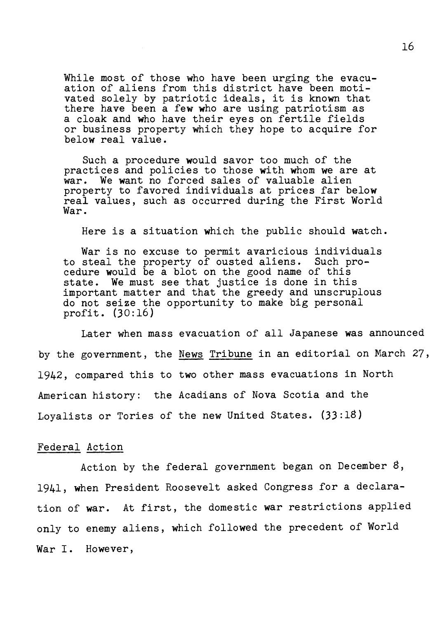While most of those who have been urging the evacuation of aliens from this district have been motiation of affens from this district have been moti-<br>vated solely by patriotic ideals, it is known that there have been a few who are using patriotism as a cloak and who have their eyes on fertile fields or business property which they hope to acquire for below real value.

Such a procedure would savor too much of the practices and policies to those with whom we are at war. We want no forced sales of valuable alien property to favored individuals at prices far below real values, such as occurred during the First World War.

Here is a situation which the public should watch.

War is no excuse to permit avaricious individuals to steal the property of ousted aliens. Such procedure would be a blot on the good name of this state. We must see that justice is done in this important matter and that the greedy and unscruplous do not seize the opportunity to make big personal profit • *( 3* 0: 16)

Later when mass evacuation of all Japanese was announced by the government, the News Tribune in an editorial on March 27, 1942, compared this to two other mass evacuations in North American history: the Acadians of Nova Scotia and the Loyalists or Tories of the new United States. (33:18)

#### Federal Action

Action by the federal government began on December 8, 1941, when President Roosevelt asked Congress for a declaration of war. At first, the domestic war restrictions applied only to enemy aliens, which followed the precedent of World War I. However,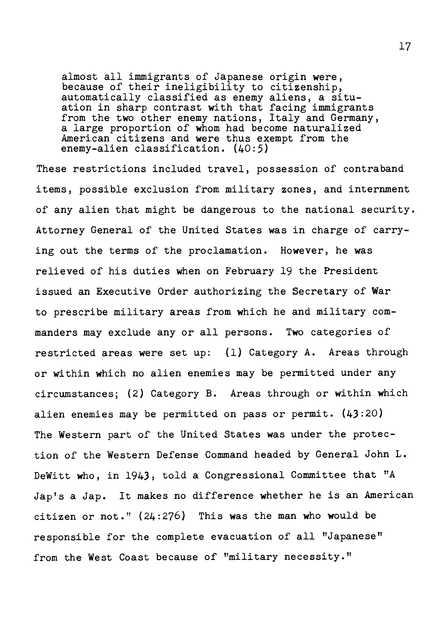almost all immigrants of Japanese origin were, because of their ineligibility to citizenship, automatically classified as enemy aliens, a situation in sharp contrast with that facing immigrants from the two other enemy nations, Italy and Germany, a large proportion of whom had become naturalized American citizens and were thus exempt from the enemy-alien classification. (40:5)

These restrictions included travel, possession of contraband items, possible exclusion from military zones, and internment of any alien that might be dangerous to the national security. Attorney General of the United States was in charge of carrying out the terms of the proclamation. However, he was relieved of his duties when on February 19 the President issued an Executive Order authorizing the Secretary of War to prescribe military areas from which he and military commanders may exclude any or all persons. Two categories of restricted areas were set up: (1) Category A. Areas through or within which no alien enemies may be permitted under any circumstances; (2) Category B. Areas through or within which alien enemies may be permitted on pass or permit. (43:20) The Western part of the United States was under the protection of the Western Defense Command headed by General John L. DeWitt who, in 1943, told a Congressional Committee that ''A Jap's a Jap. It makes no difference whether he is an American citizen or not."  $(24:276)$  This was the man who would be responsible for the complete evacuation of all "Japanese" from the West Coast because of "military necessity."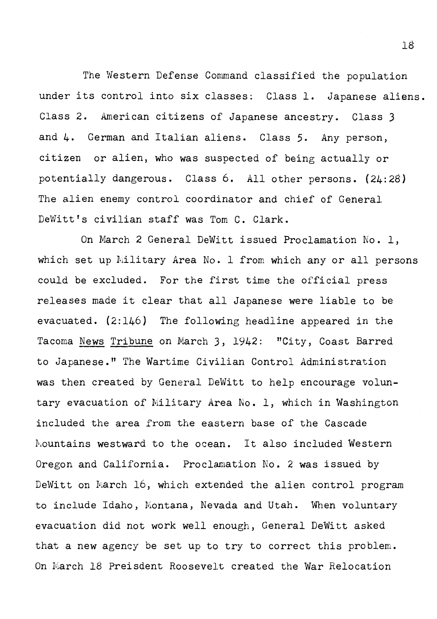The Western Defense Command classified the population under its control into six classes: Class 1. Japanese aliens. Class 2. American citizens of Japanese ancestry. Class 3 and 4. German and Italian aliens. Class 5. Any person, citizen or alien, who was suspected of being actually or potentially dangerous. Class 6. All other persons. (24:28) The alien enemy control coordinator and chief of General DeWitt's civilian staff was Tom C. Clark.

On March 2 General DeWitt issued Proclamation No. 1, which set up Military Area No. 1 from which any or all persons could be excluded. For the first time the official press releases made it clear that all Japanese were liable to be evacuated. (2:146) The following headline appeared in the Tacoma News Tribune on March 3, 1942: "City, Coast Barred to Japanese." The Wartime Civilian Control Administration was then created by General DeWitt to help encourage voluntary evacuation of Military Area No. 1, which in Washington included the area from the eastern base of the Cascade hountains westward to the ocean. It also included Western Oregon and California. Proclamation No. 2 was issued by DeWitt on March 16, which extended the alien control program to include Idaho, Montana, Nevada and Utah. When voluntary evacuation did not work well enough, General DeWitt asked that a new agency be set up to try to correct this problem. On Karch 18 Preisdent Roosevelt created the War Relocation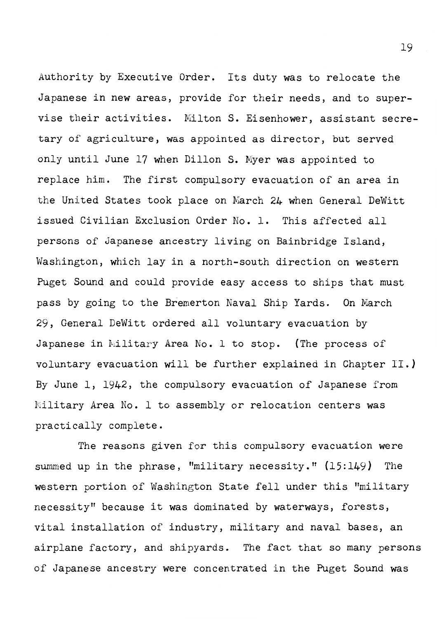Authority by Executive Order. Its duty was to relocate the Japanese in new areas, provide for their needs, and to supervise their activities. Milton S. Eisenhower, assistant secretary of agriculture, was appointed as director, but served only until June 17 when Dillon S. Myer was appointed to replace him. The first compulsory evacuation of an area in the United States took place on March 24 when General DeWitt issued Civilian Exclusion Order No. 1. This affected all persons of Japanese ancestry living on Bainbridge Island, Washington, which lay in a north-south direction on western Puget Sound and could provide easy access to ships that must pass by going to the Bremerton Naval Ship Yards. On March 29, General DeWitt ordered all voluntary evacuation by Japanese in  $M$ ilitary Area No. 1 to stop. (The process of voluntary evacuation will be further explained in Chapter II.) By June 1, 1942, the compulsory evacuation of Japanese from Military Area No. 1 to assembly or relocation centers was practically complete.

The reasons given for this compulsory evacuation were summed up in the phrase, "military necessity."  $(15:149)$  The western portion of Washington State fell under this "military necessity" because it was dominated by waterways, forests, vital installation of industry, military and naval bases, an airplane factory, and shipyards. The fact that so many persons of Japanese ancestry were concentrated in the Puget Sound was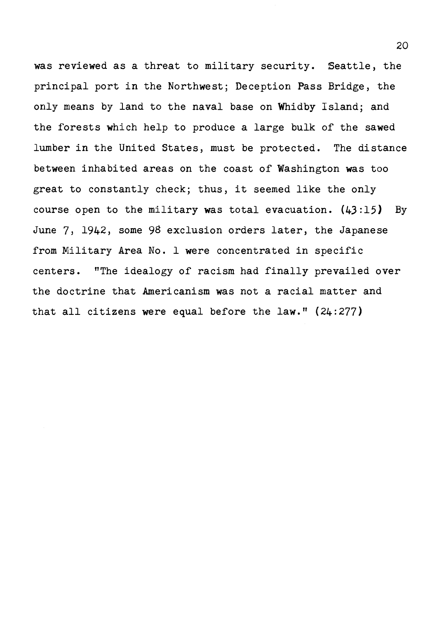was reviewed as a threat to military security. Seattle, the principal port in the Northwest; Deception Pass Bridge, the only means by land to the naval base on Whidby Island; and the forests which help to produce a large bulk of the sawed lumber in the United States, must be protected. The distance between inhabited areas on the coast of Washington was too great to constantly check; thus, it seemed like the only course open to the military was total evacuation.  $(43:15)$  By June 7, 1942, some *9\$* exclusion orders later, the Japanese from Military Area No. 1 were concentrated in specific centers. "The idealogy of racism had finally prevailed over the doctrine that Americanism was not a racial matter and that all citizens were equal before the law." (24:277)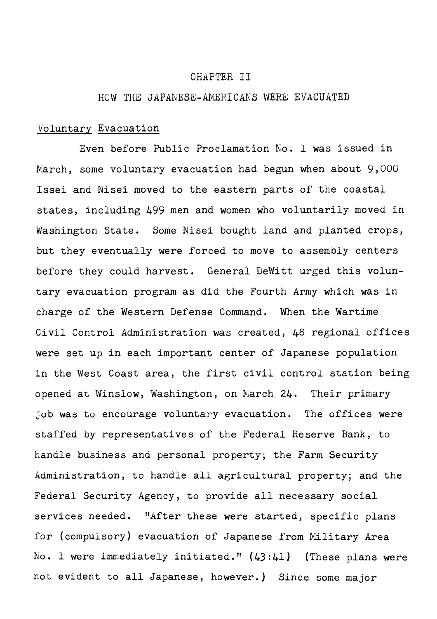#### CHAPTER II

### HOW THE JAPANESE-AMERICANS WERE EVACUATED

#### Voluntary Evacuation

Even before Public Proclamation No. 1 was issued in March, some voluntary evacuation had begun when about  $9,000$ Issei and Nisei moved to the eastern parts of the coastal states, including 499 men and women who voluntarily moved in Washington State. Some Nisei bought land and planted crops, but they eventually were forced to move to assembly centers before they could harvest. General DeWitt urged this voluntary evacuation program as did the Fourth Army which was in charge of the Western Defense Command. When the Wartime Civil Control Administration was created, 48 regional offices were set up in each important center of Japanese population in the West Coast area, the first civil control station being opened at Winslow, Washington, on March  $24$ . Their primary job was to encourage voluntary evacuation. The offices were staffed by representatives of the Federal Reserve Bank, to handle business and personal property; the Farm Security Administration, to handle all agricultural property; and the Federal Security Agency, to provide all necessary social services needed. "After these were started, specific plans for (compulsory) evacuation of Japanese from Military Area No. 1 were immediately initiated."  $(43:41)$  (These plans were not evident to all Japanese, however.) Since some major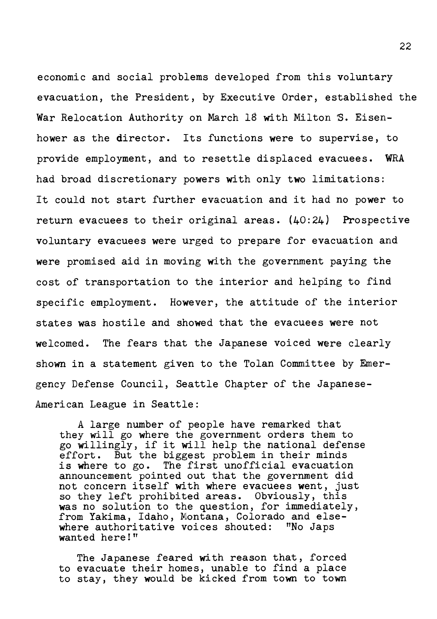economic and social problems developed from this voluntary evacuation, the President, by Executive Order, established the War Relocation Authority on March 18 with Milton S. Eisenhower as the director. Its functions were to supervise, to provide employment, and to resettle displaced evacuees. WRA had broad discretionary powers with only two limitations: It could not start further evacuation and it had no power to return evacuees to their original areas. (40:24) Prospective voluntary evacuees were urged to prepare for evacuation and were promised aid in moving with the government paying the cost of transportation to the interior and helping to find specific employment. However, the attitude of the interior states was hostile and showed that the evacuees were not welcomed. The fears that the Japanese voiced were clearly shown in a statement given to the Tolan Committee by Emergency Defense Council, Seattle Chapter of the Japanese-American League in Seattle:

A large number of people have remarked that they will go where the government orders them to go willingly, if it will help the national defense effort. But the biggest problem in their minds is where to go. The first unofficial evacuation announcement pointed out that the government did not concern itself with where evacuees went, just so they left prohibited areas. Obviously, this was no solution to the question, for immediately, from Yakima, Idaho, Montana, Colorado and elsewhere authoritative voices shouted: "No Japs wanted here!"

The Japanese feared with reason that, forced to evacuate their homes, unable to find a place to stay, they would be kicked from town to town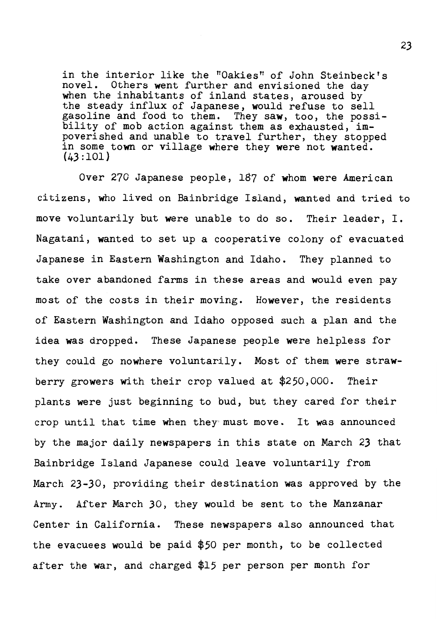in the interior like the "Oakies" of John Steinbeck's novel. Others went further and envisioned the day when the inhabitants of inland states, aroused by the steady influx of Japanese, would refuse to sell gasoline and food to them. They saw, too, the possibility of mob action against them as exhausted, impoverished and unable to travel further, they stopped in some town or village where they were not wanted.  $(43:101)$ 

Over 270 Japanese people, 187 of whom were American citizens, who lived on Bainbridge Island, wanted and tried to move voluntarily but were unable to do so. Their leader, I. Nagatani, wanted to set up a cooperative colony of evacuated Japanese in Eastern Washington and Idaho. They planned to take over abandoned farms in these areas and would even pay most of the costs in their moving. However, the residents of Eastern Washington and Idaho opposed such a plan and the idea was dropped. These Japanese people were helpless for they could go nowhere voluntarily. Most of them were strawberry growers with their crop valued at \$250,000. Their plants were just beginning to bud, but they cared for their crop until that time when they· must move. It was announced by the major daily newspapers in this state on March *23* that Bainbridge Island Japanese could leave voluntarily from March *23-30,* providing their destination was approved by the Army. After March JO, they would be sent to the Manzanar Center in California. These newspapers also announced that the evacuees would be paid \$50 per month, to be collected after the war, and charged \$15 per person per month for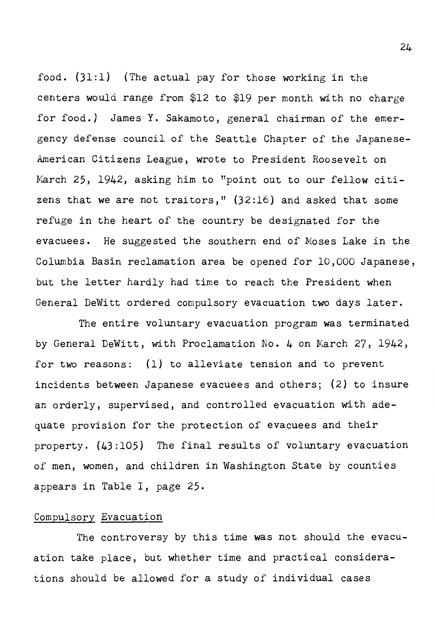food. (31:1) (The actual pay for those working in the centers would range from \$12 to \$19 per month with no charge for food.) James Y. Sakamoto, general chairman of the emergency defense council of the Seattle Chapter of the Japanese-American Citizens League, wrote to President Roosevelt on March 25, 1942, asking him to "point out to our fellow citizens that we are not traitors,"  $(32:16)$  and asked that some refuge in the heart of the country be designated for the evacuees. He suggested the southern end of Moses Lake in the Columbia Basin reclamation area be opened for 10,000 Japanese, but the letter hardly had time to reach the President when General DeWitt ordered compulsory evacuation two days later.

The entire voluntary evacuation program was terminated by General DeWitt, with Proclamation No. 4 on Narch 27, 1942, for two reasons: (1) to alleviate tension and to prevent incidents between Japanese evacuees and others; (2) to insure an orderly, supervised, and controlled evacuation with adequate provision for the protection of evacuees and their property. (43:105) The final results of voluntary evacuation of men, women, and children in Washington State by counties appears in Table I, page 25.

### Compulsory Evacuation

The controversy by this time was not should the evacuation take place, but whether time and practical considerations should be allowed for a study of individual cases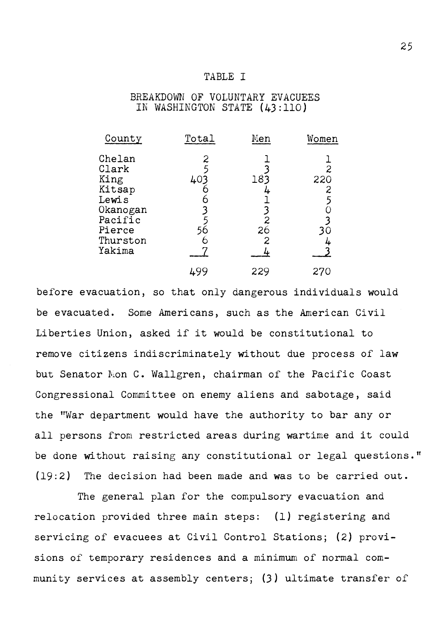#### TABLE **T**

## BREAKDOWN OF VOLUNTARY EVACUEES IN WASHINGTON STATE (43:110)

| County                                                                                            | Total               | Men                             | Women               |
|---------------------------------------------------------------------------------------------------|---------------------|---------------------------------|---------------------|
| Chelan<br>Clark<br>King<br>Kitsap<br>Lewis<br>Okanogan<br>Pacific<br>Pierce<br>Thurston<br>Yakima | 2<br>403<br>5<br>56 | 183<br>$\frac{3}{2}$<br>26<br>2 | 2<br>220<br>2<br>30 |
|                                                                                                   | 499                 | 229                             | 270                 |

before evacuation, so that only dangerous individuals would be evacuated. Some Americans, such as the American Civil Liberties Union, asked if it would be constitutional to remove citizens indiscriminately without due process of law but Senator Mon C. Wallgren, chairman of the Pacific Coast Congressional Committee on enemy aliens and sabotage, said the "War department would have the authority to bar any or all persons from restricted areas during wartime and it could be done without raising any constitutional or legal questions." (19:2) The decision had been made and was to be carried out.

The general plan for the compulsory evacuation and relocation provided three main steps: (1) registering and servicing of evacuees at Civil Control Stations; (2} provisions of temporary residences and a minimum of normal community services at assembly centers; (3) ultimate transfer of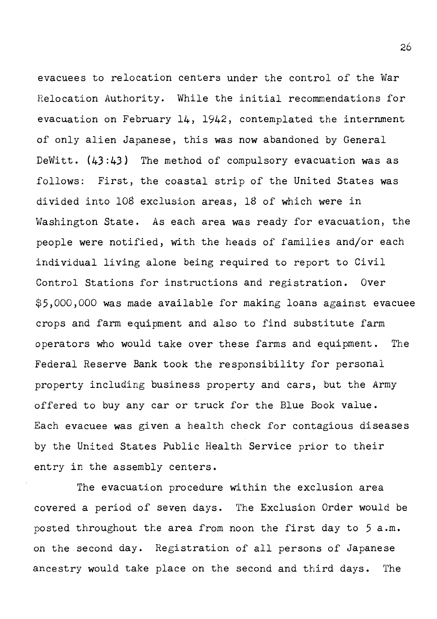evacuees to relocation centers under the control of the War Relocation Authority. While the initial recommendations for evacuation on February 14, 1942, contemplated the internment of only alien Japanese, this was now abandoned by General DeWitt.  $(43:43)$  The method of compulsory evacuation was as follows: First, the coastal strip of the United States was divided into 108 exclusion areas, 18 of which were in Washington State. As each area was ready for evacuation, the people were notified, with the heads of families and/or each individual living alone being required to report to Civil Control Stations for instructions and registration. Over \$5,000,000 was made available for making loans against evacuee crops and farm equipment and also to find substitute farm operators who would take over these farms and equipment. The Federal Reserve Bank took the responsibility for personal property including business property and cars, but the Army offered to buy any car or truck for the Blue Book value. Each evacuee was given a health check for contagious diseases by the United States Public Health Service prior to their entry in the assembly centers.

The evacuation procedure within the exclusion area covered a period of seven days. The Exclusion Order would be posted throughout the area from noon the first day to 5 a.m. on the second day. Registration of all persons of Japanese ancestry would take place on the second and third days. The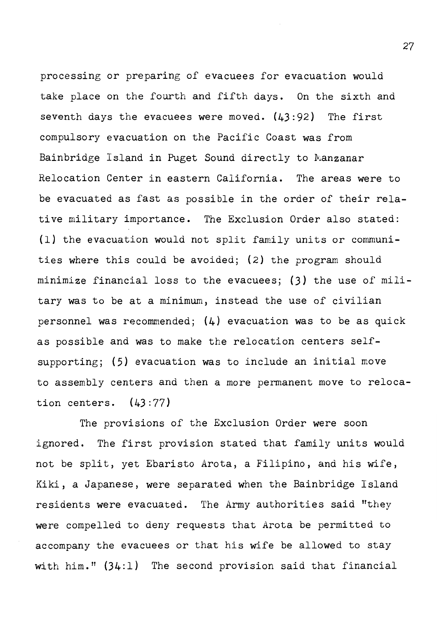processing or preparing of evacuees for evacuation would take place on the fourth and fifth days. On the sixth and seventh days the evacuees were moved.  $(43:92)$  The first compulsory evacuation on the Pacific Coast was from Bainbridge Island in Puget Sound directly to Manzanar Relocation Center in eastern California. The areas were to be evacuated as fast as possible in the order of their relative military importance. The Exclusion Order also stated: (1) the evacuation would not split family units or communities where this could be avoided; (2) the program should minimize financial loss to the evacuees; (3) the use of military was to be at a minimum, instead the use of civilian personnel was recommended;  $(4)$  evacuation was to be as quick as possible and was to make the relocation centers selfsupporting; (5) evacuation was to include an initial move to assembly centers and then a more permanent move to relocation centers. (43:77)

The provisions of the Exclusion Order were soon ignored. The first provision stated that family units would not be split, yet Ebaristo Arota, a Filipino, and his wife, Kiki, a Japanese, were separated when the Bainbridge Island residents were evacuated. The Army authorities said "they were compelled to deny requests that Arota be permitted to accompany the evacuees or that his wife be allowed to stay with him."  $(34:1)$  The second provision said that financial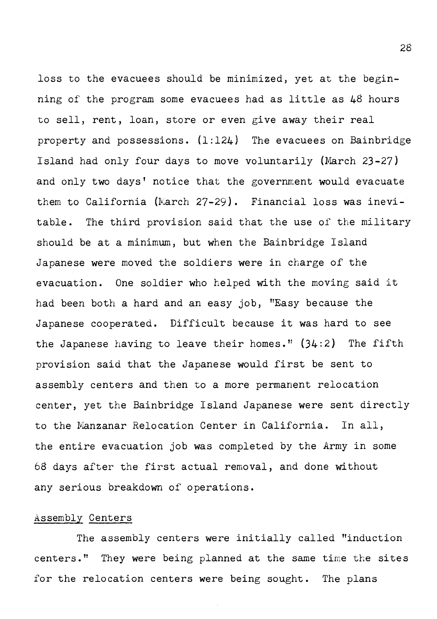loss to the evacuees should be minimized, yet at the beginning of the program some evacuees had as little as 48 hours to sell, rent, loan, store or even give away their real property and possessions.  $(1:124)$  The evacuees on Bainbridge Island had only four days to move voluntarily (March 23-27) and only two days' notice that the government would evacuate them to California (March 27-29). Financial loss was inevitable. The third provision said that the use of the military should be at a minimum, but when the Bainbridge Island Japanese were moved the soldiers were in charge of the evacuation. One soldier who helped with the moving said it had been both a hard and an easy job, "Easy because the Japanese cooperated. Difficult because it was hard to see the Japanese having to leave their homes."  $(34:2)$  The fifth provision said that the Japanese would first be sent to assembly centers and then to a more permanent relocation center, yet the Bainbridge Island Japanese were sent directly to the Manzanar Relocation Center in California. In all, the entire evacuation job was completed by the Army in some 68 days after the first actual removal, and done without any serious breakdown of operations.

# Assembly Centers

The assembly centers were initially called "induction centers." They were being planned at the same time the sites for the relocation centers were being sought. The plans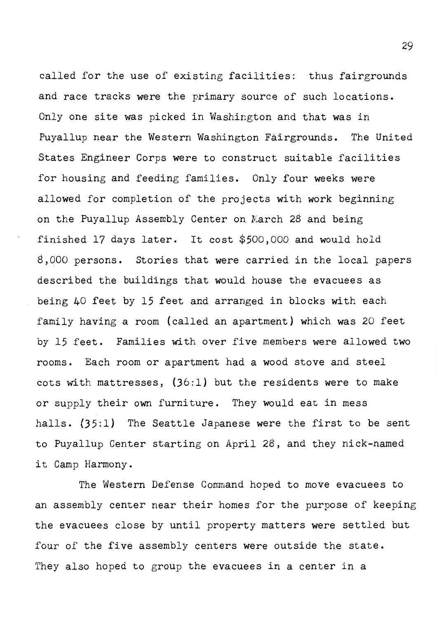called for the use of existing facilities: thus fairgrounds and race tracks were the primary source of such locations. Only one site was picked in Washington and that was in Puyallup near the Western Washington Fairgrounds. The United States Engineer Corps were to construct suitable facilities for housing and feeding families. Only four weeks were allowed for completion of the projects with work beginning on the Puyallup Assembly Center on Karch 28 and being finished 17 days later. It cost \$500,000 and would hold 8,000 persons. Stories that were carried in the local papers described the buildings that would house the evacuees as being 40 feet by 15 feet and arranged in blocks with each family having a room (called an apartment) which was 20 feet by 15 feet. Families with over five members were allowed two rooms. Each room or apartment had a wood stove and steel cots with mattresses,  $(36:1)$  but the residents were to make or supply their own furniture. They would eat in mess halls. (35:1) The Seattle Japanese were the first to be sent to Puyallup Center starting on April 28, and they nick-named it Camp Harmony.

The Western Defense Command hoped to move evacuees to an assembly center near their homes for the purpose of keeping the evacuees close by until property matters were settled but four of the five assembly centers were outside the state. They also hoped to group the evacuees in a center in a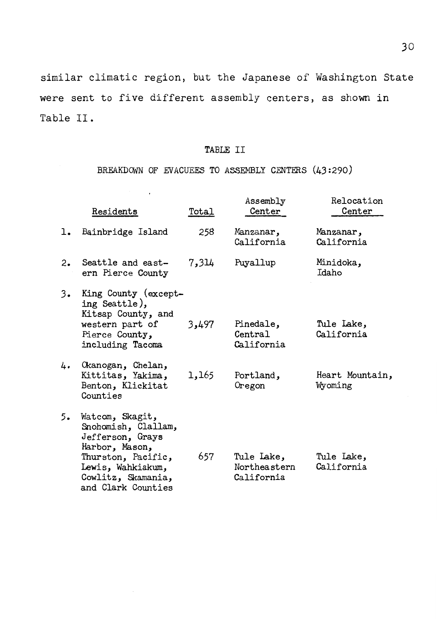similar climatic region, but the Japanese of Washington State were sent to five different assembly centers, as shown in Table II.

# TABLE II

BREAKDOWN OF EVACUEES TO ASSEMBLY CENTERS (43:290)

|    | Residents                                                                                                                                                           | Total | Assembly<br>Center                       | Relocation<br>Center       |
|----|---------------------------------------------------------------------------------------------------------------------------------------------------------------------|-------|------------------------------------------|----------------------------|
| ı. | Bainbridge Island                                                                                                                                                   | 258   | Manzanar,<br>California                  | Manzanar,<br>California    |
| 2. | Seattle and east-<br>ern Pierce County                                                                                                                              | 7,314 | Puyallup                                 | Minidoka,<br>Idaho         |
| 3. | King County (except-<br>ing Seattle),<br>Kitsap County, and<br>western part of<br>Pierce County,<br>including Tacoma                                                | 3,497 | Pinedale,<br>Central<br>California       | Tule Lake,<br>California   |
| 4. | Okanogan, Chelan,<br>Kittitas, Yakima,<br>Benton, Klickitat<br>Counties                                                                                             | 1,165 | Portland,<br>Oregon                      | Heart Mountain,<br>Wyoming |
| 5. | Watcom, Skagit,<br>Snohomish, Clallam,<br>Jefferson, Grays<br>Harbor, Mason,<br>Thurston, Pacific,<br>Lewis, Wahkiakum,<br>Cowlitz, Skamania,<br>and Clark Counties | 657   | Tule Lake,<br>Northeastern<br>California | Tule Lake,<br>California   |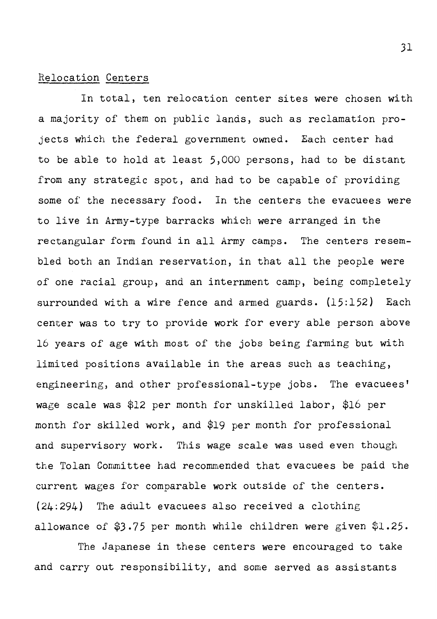# Relocation Centers

In total, ten relocation center sites were chosen with a majority of them on public lands, such as reclamation projects which the federal government owned. Each center had to be able to hold at least 5,000 persons, had to be distant from any strategic spot, and had to be capable of providing some of the necessary food. In the centers the evacuees were to live in Army-type barracks which were arranged in the rectangular form found in all Army camps. The centers resembled both an Indian reservation, in that all the people were of one racial group, and an internment camp, being completely surrounded with a wire fence and armed guards. (15:152) Each center was to try to provide work for every able person above 16 years of age with most of the jobs being farming but with limited positions available in the areas such as teaching, engineering, and other professional-type jobs. The evacuees' wage scale was \$12 per month for unskilled labor, \$16 per month for skilled work, and \$19 per month for professional and supervisory work. This wage scale was used even though the Tolan Committee had recommended that evacuees be paid the current wages for comparable work outside of the centers. (24:294) The adult evacuees also received a clothing allowance of \$3.75 per month while children were given \$1.25.

The Japanese in these centers were encouraged to take and carry out responsibility, and some served as assistants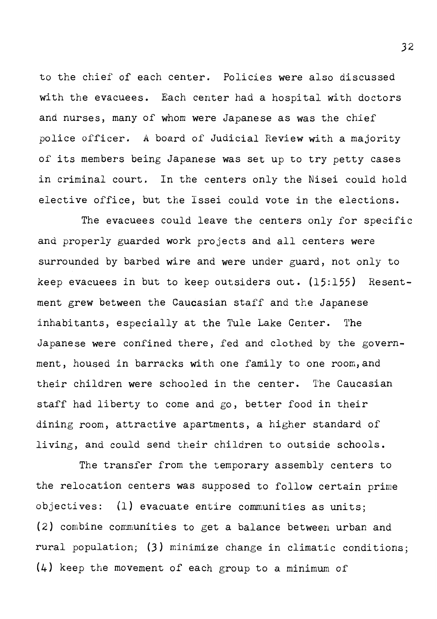to the chief of each center. Policies were also discussed with the evacuees. Each center had a hospital with doctors and nurses, many of whom were Japanese as was the chief police officer. A board of Judicial Review with a majority of its members being Japanese was set up to try petty cases in criminal court. In the centers only the Nisei could hold elective office, but the Issei could vote in the elections.

The evacuees could leave the centers only for specific and properly guarded work projects and all centers were surrounded by barbed wire and were under guard, not only to keep evacuees in but to keep outsiders out. (15:155) Resentment grew between the Caucasian staff and the Japanese inhabitants, especially at the Tule Lake Center. The Japanese were confined there, fed and clothed by the government, housed in barracks with one family to one room,and their children were schooled in the center. The Caucasian staff had liberty to come and go, better food in their dining room, attractive apartments, a higher standard of living, and could send their children to outside schools.

The transfer from the temporary assembly centers to the relocation centers was supposed to follow certain prime objectives:  $(1)$  evacuate entire communities as units;  $(2)$  combine communities to get a balance between urban and rural population; (3) minimize change in climatic conditions; (4) keep the movement of each group to a minimum of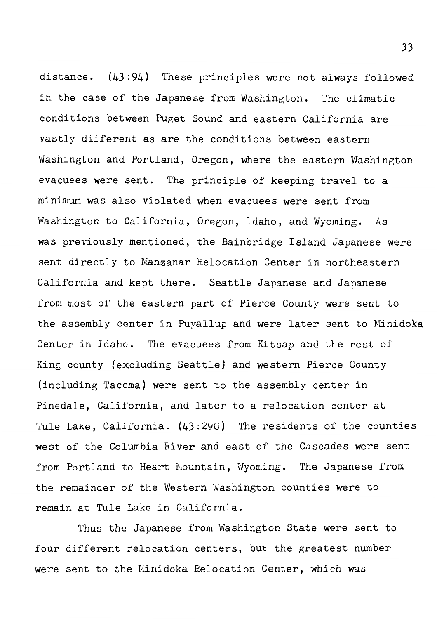distance. (43:94) These principles were not always followed in the case of the Japanese from Washington. The climatic conditions between Puget Sound and eastern California are vastly different as are the conditions between eastern Washington and Portland, Oregon, where the eastern Washington evacuees were sent. The principle of keeping travel to a minimum was also violated when evacuees were sent from Washington to California, Oregon, Idaho, and Wyoming. As was previously mentioned, the Bainbridge Island Japanese were sent directly to Manzanar Relocation Center in northeastern California and kept there. Seattle Japanese and Japanese from most of the eastern part of Pierce County were sent to the assembly center in Puyallup and were later sent to Minidoka Center in Idaho. The evacuees from Kitsap and the rest of King county (excluding Seattle) and western Pierce County (including Tacoma) were sent to the assembly center in Pinedale, California, and later to a relocation center at Tule Lake, California. (43:290) The residents of the counties west of the Columbia River and east of the Cascades were sent from Portland to Heart Mountain, Wyoming. The Japanese from the remainder of the Western Washington counties were to remain at Tule Lake in California.

Thus the Japanese from Washington State were sent to four different relocation centers, but the greatest number were sent to the kinidoka Relocation Center, which was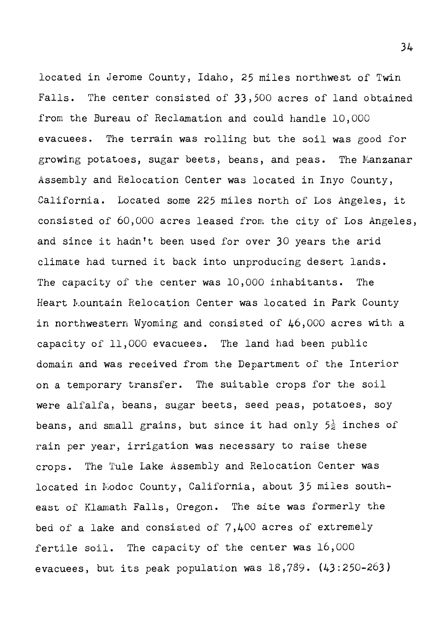located in Jerome County, Idaho, 25 miles northwest of Twin Falls. The center consisted of *33,500* acres of land obtained from the Bureau of Reclamation and could handle 10,000 evacuees. The terrain was rolling but the soil was good for growing potatoes, sugar beets, beans, and peas. The Manzanar Assembly and Relocation Center was located in Inyo County, California. Located some 225 miles north of Los Angeles, it consisted of 60,000 acres leased fron; the city of Los Angeles, and since it hadn't been used for over *30* years the arid climate had turned it back into unproducing desert lands. The capacity of the center was 10,000 inhabitants. The Heart Mountain Relocation Center was located in Park County in northwestern Wyoming and consisted of 46,000 acres with a capacity of 11,000 evacuees. The land had been public domain and was received from the Department of the Interior on a temporary transfer. The suitable crops for the soil were alfalfa, beans, sugar beets, seed peas, potatoes, soy beans, and small grains, but since it had only  $5\frac{1}{2}$  inches of rain per year, irrigation was necessary to raise these crops. The Tule Lake Assembly and Relocation Center was located in hodoc County, California, about *35* miles southeast of Klamath Falls, Oregon. The site was formerly the bed of a lake and consisted of 7,400 acres of extremely fertile soil. The capacity of the center was 16,000 evacuees, but its peak population was 18,789. (43:250-263)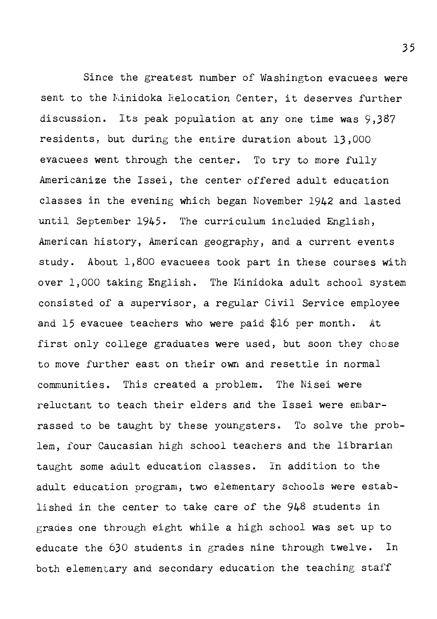Since the greatest number of Washington evacuees were sent to the Minidoka Relocation Center, it deserves further discussion. Its peak population at any one time was 9,387 residents, but during the entire duration about 13,000 evacuees went through the center. To try to more fully Americanize the Issei, the center offered adult education classes in the evening which began November 1942 and lasted until September 1945. The curriculum included English, American history, American geography, and a current events study. About 1,800 evacuees took part in these courses with over 1,000 taking English. The Minidoka adult school system consisted of a supervisor, a regular Civil Service employee and 15 evacuee teachers who were paid \$16 per month. At first only college graduates were used, but soon they chose to move further east on their own and resettle in normal communities. This created a problem. The Nisei were reluctant to teach their elders and the Issei were embarrassed to be taught by these youngsters. To solve the problem, four Caucasian high school teachers and the librarian taught some adult education classes. In addition to the adult education program, two elementary schools were established in the center to take care of the 948 students in grades one through eight while a high school was set up to educate the 630 students in grades nine through twelve. In both elementary and secondary education the teaching staff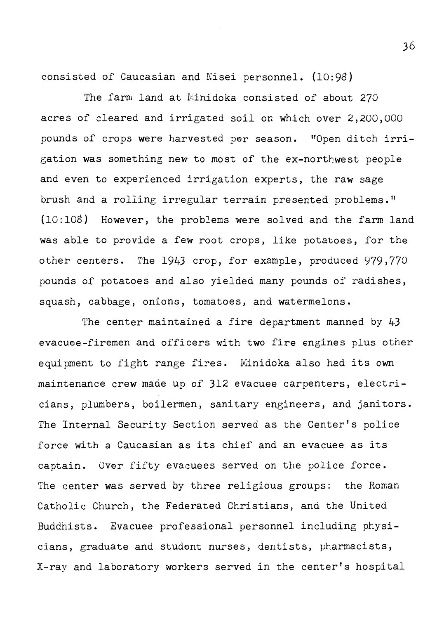consisted of Caucasian and Nisei personnel. (10:98)

The farm land at Minidoka consisted of about 270 acres of cleared and irrigated soil on which over 2,200,000 pounds of crops were harvested per season. "Open ditch irrigation was something new to most of the ex-northwest people and even to experienced irrigation experts, the raw sage brush and a rolling irregular terrain presented problems." (10:108) However, the problems were solved and the farm land was able to provide a few root crops, like potatoes, for the other centers. The 1943 crop, for example, produced 979,770 pounds of potatoes and also yielded many pounds of radishes, squash, cabbage, onions, tomatoes, and watermelons.

The center maintained a fire department manned by 43 evacuee-firemen and officers with two fire engines plus other equipment to fight range fires. Minidoka also had its own maintenance crew made up of 312 evacuee carpenters, electricians, plumbers, boilermen, sanitary engineers, and janitors. The Internal Security Section served as the Center's police force with a Caucasian as its chief and an evacuee as its captain. Over fifty evacuees served on the police force. The center was served by three religious groups: the Roman Catholic Church, the Federated Christians, and the United Buddhists. Evacuee professional personnel including physicians, graduate and student nurses, dentists, pharmacists, X-ray and laboratory workers served in the center's hospital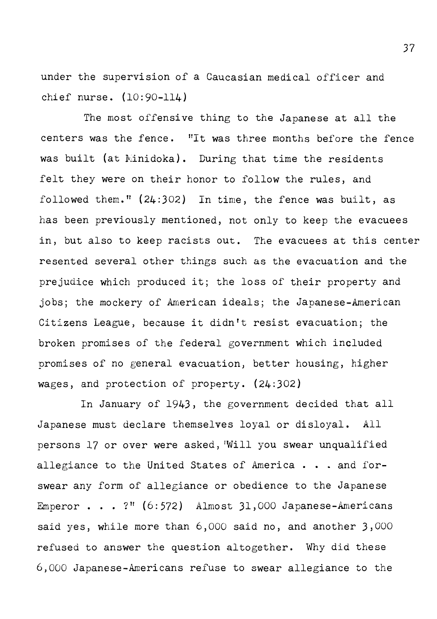under the supervision of a Caucasian medical officer and chief nurse. (10:90-114)

The most offensive thing to the Japanese at all the centers was the fence. "It was three months before the fence was built (at Minidoka). During that time the residents felt they were on their honor to follow the rules, and followed them."  $(24:302)$  In time, the fence was built, as has been previously mentioned, not only to keep the evacuees in, but also to keep racists out. The evacuees at this center resented several other things such as the evacuation and the prejudice which produced it; the loss of their property and jobs; the mockery of American ideals; the Japanese-American Citizens League, because it didn't resist evacuation; the broken promises of the federal government which included promises of no general evacuation, better housing, higher wages, and protection of property. (24:302)

In January of 1943, the government decided that all Japanese must declare themselves loyal or disloyal. All persons 17 or over were asked, Will you swear unqualified allegiance to the United States of America . . . and forswear any form of allegiance or obedience to the Japanese Emperor  $\ldots$  ?" (6:572) Almost 31,000 Japanese-Americans said yes, while more than 6,000 said no, and another 3,000 refused to answer the question altogether. Why did these 6,000 Japanese-Americans refuse to swear allegiance to the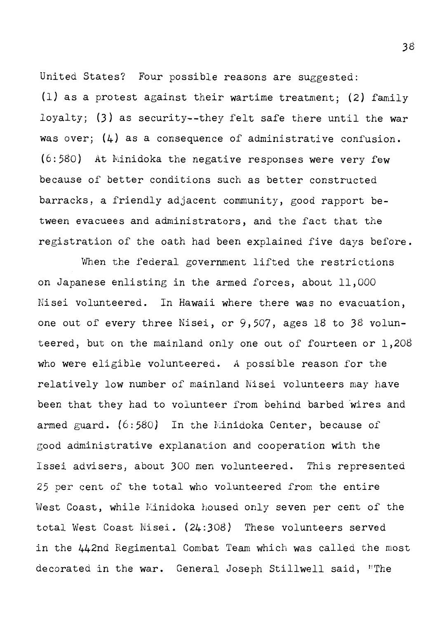United States? Four possible reasons are suggested: (1) as a protest against their wartime treatment; (2) family loyalty; (3) as security--they felt safe there until the war was over; (4) as a consequence of administrative confusion.  $(6:580)$  At Minidoka the negative responses were very few because of better conditions such as better constructed barracks, a friendly adjacent community, good rapport between evacuees and administrators, and the fact that the registration of the oath had been explained five days before.

When the federal government lifted the restrictions on Japanese enlisting in the armed forces, about 11,000 Nisei volunteered. In Hawaii where there was no evacuation, one out of every three Nisei, or 9,507, ages 18 to 38 volunteered, but on the mainland only one out of fourteen or 1,208 who were eligible volunteered. A possible reason for the relatively low number of mainland Nisei volunteers may have been that they had to volunteer from behind barbed wires and armed guard.  $(6:580)$  In the Minidoka Center, because of good administrative explanation and cooperation with the Issei advisers, about 300 men volunteered. This represented 25 per cent of the total who volunteered from the entire West Coast, while Kinidoka housed only seven per cent of the total West Coast Nisei. (24:308) These volunteers served in the 442nd Regimental Combat Team which was called the most decorated in the war. General Joseph Stillwell said, "The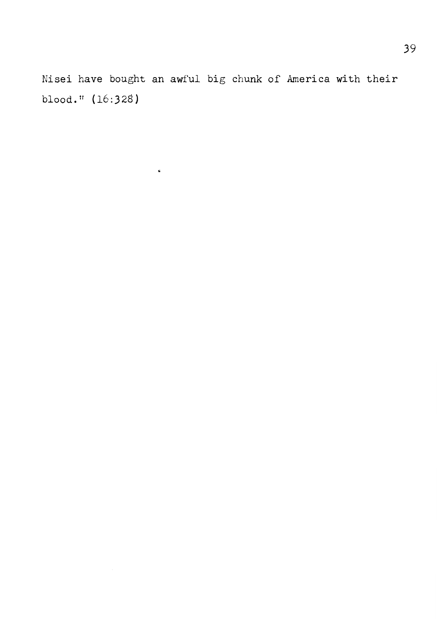Nisei have bought an awful big chunk of America with their blood." (16:328)

 $\pmb{\mu}$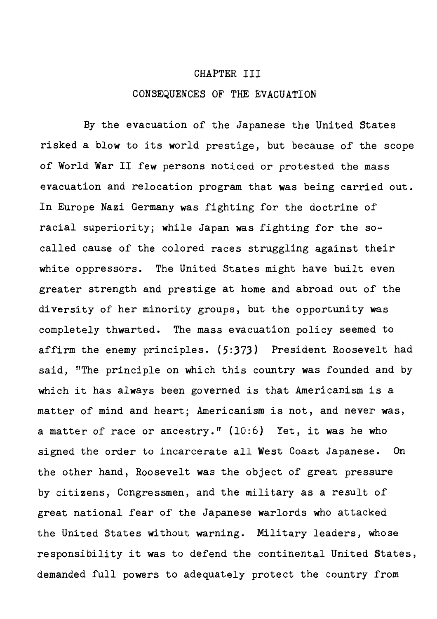#### CHAPTER III

# CONSEQUENCES OF THE EVACUATION

By the evacuation of the Japanese the United States risked a blow to its world prestige, but because of the scope of World War II few persons noticed or protested the mass evacuation and relocation program that was being carried out. In Europe Nazi Germany was fighting for the doctrine of racial superiority; while Japan was fighting for the socalled cause of the colored races struggling against their white oppressors. The United States might have built even greater strength and prestige at home and abroad out of the diversity of her minority groups, but the opportunity was completely thwarted. The mass evacuation policy seemed to affirm the enemy principles. (5:373) President Roosevelt had said, "The principle on which this country was founded and by which it has always been governed is that Americanism is a matter of mind and heart; Americanism is not, and never was, a matter of race or ancestry." (10:6) Yet, it was he who signed the order to incarcerate all West Coast Japanese. On the other hand, Roosevelt was the object of great pressure by citizens, Congressmen, and the military as a result of great national fear of the Japanese warlords who attacked the United States without warning. Military leaders, whose responsibility it was to defend the continental United States, demanded full powers to adequately protect the country from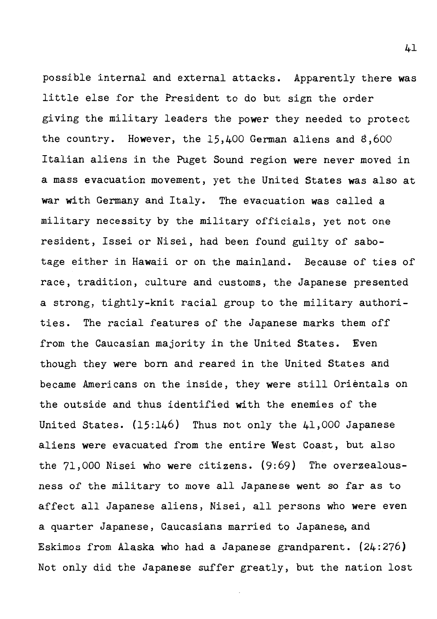possible internal and external attacks. Apparently there was little else for the President to do but sign the order giving the military leaders the power they needed to protect the country. However, the  $15,400$  German aliens and  $8,600$ Italian aliens in the Puget Sound region were never moved in a mass evacuation movement, yet the United States was also at war with Germany and Italy. The evacuation was called a military necessity by the military officials, yet not one resident, Issei or Nisei, had been found guilty of sabotage either in Hawaii or on the mainland. Because of ties of race, tradition, culture and customs, the Japanese presented a strong, tightly-knit racial group to the military authorities. The racial features of the Japanese marks them off from the Caucasian majority in the United States. Even though they were born and reared in the United States and became Americans on the inside, they were still Orientals on the outside and thus identified with the enemies of the United States. (15:146) Thus not only the 41,000 Japanese aliens were evacuated from the entire West Coast, but also the 71,000 Nisei who were citizens. (9:69) The overzealousness of the military to move all Japanese went so far as to affect all Japanese aliens, Nisei, all persons who were even a quarter Japanese, Caucasians married to Japanese, and Eskimos from Alaska who had a Japanese grandparent. (24:276) Not only did the Japanese suffer greatly, but the nation lost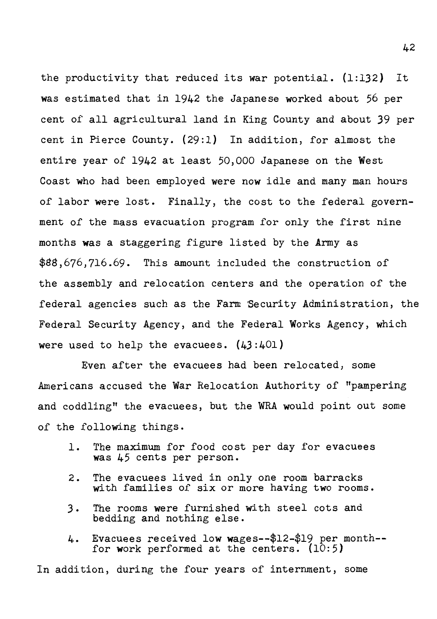the productivity that reduced its war potential.  $(1:132)$  It was estimated that in 1942 the Japanese worked about 56 per cent of all agricultural land in King County and about *39* per cent in Pierce County. (29:1) In addition, for almost the entire year of 1942 at least 50,000 Japanese on the West Coast who had been employed were now idle and many man hours of labor were lost. Finally, the cost to the federal government of the mass evacuation program for only the first nine months was a staggering figure listed by the Army as \$88,676,716.69. This amount included the construction of the assembly and relocation centers and the operation of the federal agencies such as the Farm 'Security Administration, the Federal Security Agency, and the Federal Works Agency, which were used to help the evacuees.  $(43:401)$ 

Even after the evacuees had been relocated, some Americans accused the War Relocation Authority of "pampering and coddling" the evacuees, but the WRA would point out some of the following things.

- 1. The maximum for food cost per day for evacuees was 45 cents per person.
- 2. The evacuees lived in only one room barracks with families of six or more having two rooms.
- The rooms were furnished with steel cots and 3. bedding and nothing else.
- 4. Evacuees received low wages--\$12-\$19 per month- for work performed at the centers. (10:5)

In addition, during the four years of internment, some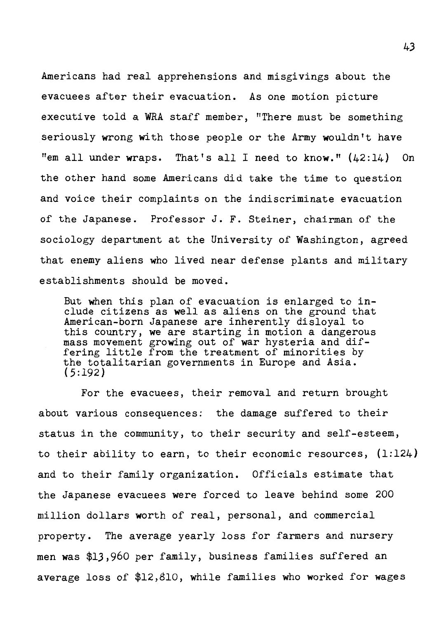Americans had real apprehensions and misgivings about the evacuees after their evacuation. As one motion picture executive told a WRA staff member, "There must be something seriously wrong with those people or the Army wouldn't have "em all under wraps. That's all I need to know."  $(42:14)$  On the other hand some Americans did take the time to question and voice their complaints on the indiscriminate evacuation of the Japanese. Professor J. F. Steiner, chairman of the sociology department at the University of Washington, agreed that enemy aliens who lived near defense plants and military establishments should be moved.

But when this plan of evacuation is enlarged to include citizens as well as aliens on the ground that American-born Japanese are inherently disloyal to this country, we are starting in motion a dangerous mass movement growing out of war hysteria and differing little from the treatment of minorities by the totalitarian governments in Europe and Asia. (5:192)

For the evacuees, their removal and return brought about various consequences: the damage suffered to their status in the community, to their security and self-esteem, to their ability to earn, to their economic resources, (1:124) and to their family organization. Officials estimate that the Japanese evacuees were forced to leave behind some 200 million dollars worth of real, personal, and commercial property. The average yearly loss for farmers and nursery men was \$13,960 per family, business families suffered an average loss of \$12,810, while families who worked for wages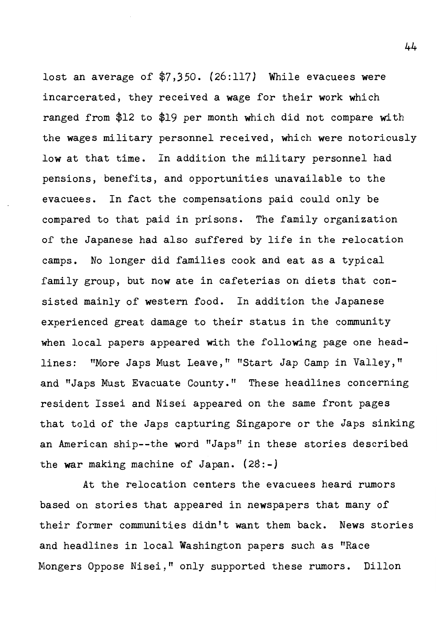lost an average of \$7,350. (26:117) While evacuees were incarcerated, they received a wage for their work which ranged from \$12 to \$19 per month which did not compare with the wages military personnel received, which were notoriously low at that time. In addition the military personnel had pensions, benefits, and opportunities unavailable to the evacuees. In fact the compensations paid could only be compared to that paid in prisons. The family organization of the Japanese had also suffered by life in the relocation camps. No longer did families cook and eat as a typical family group, but now ate in cafeterias on diets that consisted mainly of western food. In addition the Japanese experienced great damage to their status in the community when local papers appeared with the following page one headlines: "More Japs Must Leave," "Start Jap Camp in Valley," and "Japs Must Evacuate County." These headlines concerning resident Issei and Nisei appeared on the same front pages that told of the Japs capturing Singapore or the Japs sinking an American ship--the word "Japs" in these stories described the war making machine of Japan. (28:-)

At the relocation centers the evacuees heard rumors based on stories that appeared in newspapers that many of their former communities didn't want them back. News stories and headlines in local Washington papers such as "Race Mongers Oppose Nisei," only supported these rumors. Dillon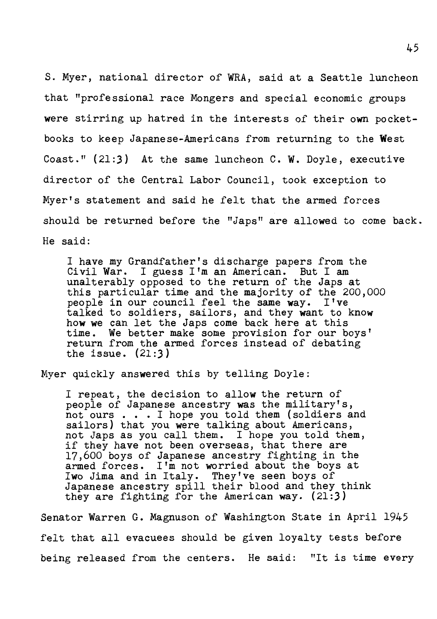S. Myer, national director of WRA, said at a Seattle luncheon that "professional race Mongers and special economic groups were stirring up hatred in the interests of their own pocketbooks to keep Japanese-Americans from returning to the West Coast."  $(21:3)$  At the same luncheon C. W. Doyle, executive director of the Central Labor Council, took exception to Myer's statement and said he felt that the armed forces should be returned before the "Japs" are allowed to come back. He said:

I have my Grandfather's discharge papers from the Civil War. I guess I'm an American. But I am unalterably opposed to the return of the Japs at this particular time and the majority of the 200,000 people in our council feel the same way. I've talked to soldiers, sailors, and they want to know how we can let the Japs come back here at this time. We better make some provision for our boys' return from the armed forces instead of debating the issue.  $(21:3)$ 

Myer quickly answered this by telling Doyle:

I repeat, the decision to allow the return of people of Japanese ancestry was the military's, not ours . . . I hope you told them (soldiers and sailors) that you were talking about Americans, not Japs as you call them. I hope you told them, if they have not been overseas, that there are 17,600 boys of Japanese ancestry fighting in the armed forces. I'm not worried about the boys at Iwo Jima and in Italy. They've seen boys of Japanese ancestry spill their blood and they think they are fighting for the American way. (21:3)

Senator Warren G. Magnuson of Washington State in April 1945 felt that all evacuees should be given loyalty tests before being released from the centers. He said: "It is time every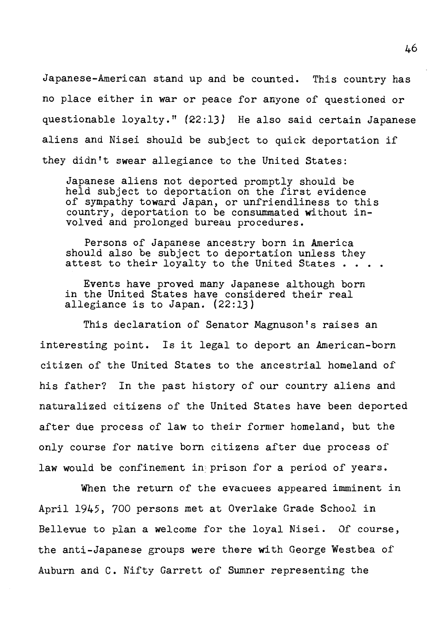Japanese-American stand up and be counted. This country has no place either in war or peace for anyone of questioned or questionable loyalty." (22:13) He also said certain Japanese aliens and Nisei should be subject to quick deportation if they didn't swear allegiance to the United States:

Japanese aliens not deported promptly should be held subject to deportation on the first evidence of sympathy toward Japan, or unfriendliness to this country, deportation to be consummated without involved and prolonged bureau procedures.

Persons of Japanese ancestry born in America should also be subject to deportation unless they<br>attest to their loyalty to the United States . . . .

Events have proved many Japanese although born in the United States have considered their real allegiance is to Japan. (22:13)

This declaration of Senator Magnuson's raises an interesting point. Is it legal to deport an American-born citizen of the United States to the ancestrial homeland of his father? In the past history of our country aliens and naturalized citizens of the United States have been deported after due process of law to their former homeland, but the only course for native born citizens after due process of law would be confinement in•prison for a period of years.

When the return of the evacuees appeared imminent in April 1945, 700 persons met at Overlake Grade School in Bellevue to plan a welcome for the loyal Nisei. Of course, the anti-Japanese groups were there with George Westbea of Auburn and C. Nifty Garrett of Sumner representing the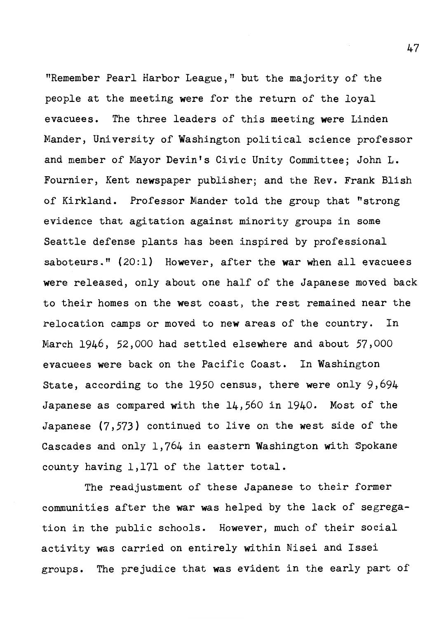"Remember Pearl Harbor League," but the majority of the people at the meeting were for the return of the loyal evacuees. The three leaders of this meeting were Linden Mander, University of Washington political science professor and member of Mayor Devin's Civic Unity Committee; John L. Fournier, Kent newspaper publisher; and the Rev. Frank Blish of Kirkland. Professor Mander told the group that "strong evidence that agitation against minority groups in some Seattle defense plants has been inspired by professional saboteurs."  $(20:1)$  However, after the war when all evacuees were released, only about one half of the Japanese moved back to their homes on the west coast, the rest remained near the relocation camps or moved to new areas of the country. In March 1946, 52,000 had settled elsewhere and about 57,000 evacuees were back on the Pacific Coast. In Washington State, according to the 1950 census, there were only 9,694 Japanese as compared with the 14,560 in 1940. Most of the Japanese (7,573} continued to live on the west side of the Cascades and only 1,764 in eastern Washington with Spokane county having 1,171 of the latter total.

The readjustment of these Japanese to their former communities after the war was helped by the lack of segregation in the public schools. However, much of their social activity was carried on entirely within Nisei and Issei groups. The prejudice that was evident in the early part of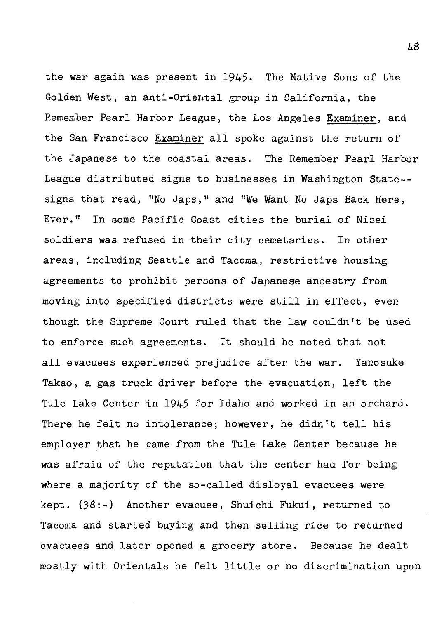the war again was present in 1945. The Native Sons of the Golden West, an anti-Oriental group in California, the Remember Pearl Harbor League, the Los Angeles Examiner, and the San Francisco Examiner all spoke against the return of the Japanese to the coastal areas. The Remember Pearl Harbor League distributed signs to businesses in Washington State- signs that read, "No Japs," and "We Want No Japs Back Here, Ever." In some Pacific Coast cities the burial of Nisei soldiers was refused in their city cemetaries. In other areas, including Seattle and Tacoma, restrictive housing agreements to prohibit persons of Japanese ancestry from moving into specified districts were still in effect, even though the Supreme Court ruled that the law couldn't be used to enforce such agreements. It should be noted that not all evacuees experienced prejudice after the war. Yanosuke Takao, a gas truck driver before the evacuation, left the Tule Lake Center in 1945 for Idaho and worked in an orchard. There he felt no intolerance; however, he didn't tell his employer that he came from the Tule Lake Center because he was afraid of the reputation that the center had for being where a majority of the so-called disloyal evacuees were kept. (JS:-) Another evacuee, Shuichi Fukui, returned to Tacoma and started buying and then selling rice to returned evacuees and later opened a grocery store. Because he dealt mostly with Orientals he felt little or no discrimination upon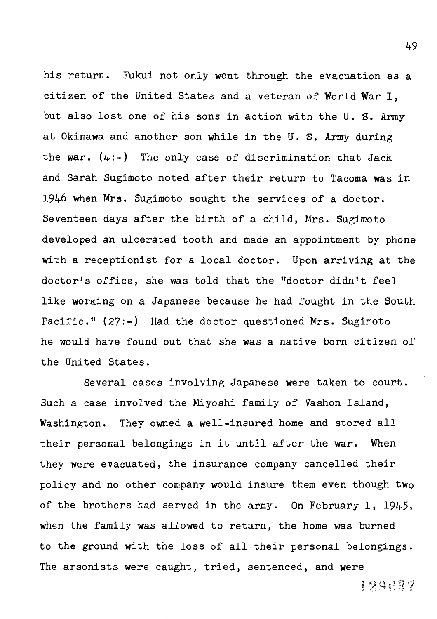his return. Fukui not only went through the evacuation as a citizen of the United States and a veteran of World War I, but also lost one of his sons in action with the U. S. Army at Okinawa and another son while in the U. S. Army during the war.  $(4:-)$  The only case of discrimination that Jack and Sarah Sugimoto noted after their return to Tacoma was in 1946 when Mrs. Sugimoto sought the services of a doctor. Seventeen days after the birth of a child, Mrs. Sugimoto developed an ulcerated tooth and made an appointment by phone with a receptionist for a local doctor. Upon arriving at the doctor's office, she was told that the "doctor didn't feel like working on a Japanese because he had fought in the South Pacific."  $(27:-)$  Had the doctor questioned Mrs. Sugimoto he would have found out that she was a native born citizen of the United States.

Several cases involving Japanese were taken to court. Such a case involved the Miyoshi family of Vashon Island, Washington. They owned a well-insured home and stored all their personal belongings in it until after the war. When they were evacuated, the insurance company cancelled their policy and no other company would insure them even though two of the brothers had served in the army. On February 1, 1945, when the family was allowed to return, the home was burned to the ground with the loss of all their personal belongings. The arsonists were caught, tried, sentenced, and were

49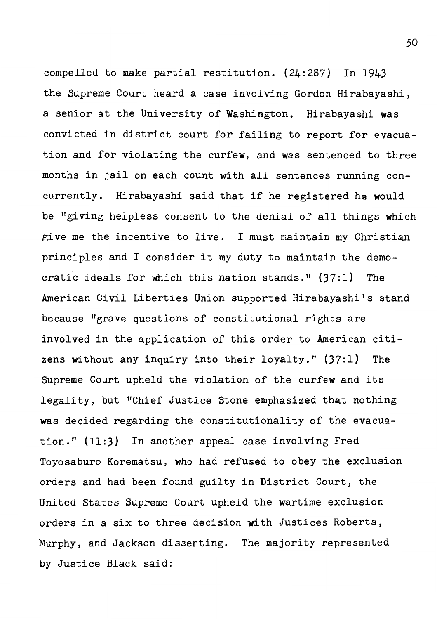compelled to make partial restitution. (24:2\$7) In 1943 the Supreme Court heard a case involving Gordon Hirabayashi, a senior at the University of Washington. Hirabayashi was convicted in district court for failing to report for evacuation and for violating the curfew, and was sentenced to three months in jail on each count with all sentences running concurrently. Hirabayashi said that if he registered he would be "giving helpless consent to the denial of all things which give me the incentive to live. I must maintain my Christian principles and I consider it my duty to maintain the democratic ideals for which this nation stands."  $(37:1)$  The American Civil Liberties Union supported Hirabayashi's stand because "grave questions of constitutional rights are involved in the application of this order to American citizens without any inquiry into their loyalty." (37:1) The Supreme Court upheld the violation of the curfew and its legality, but ''Chief Justice Stone emphasized that nothing was decided regarding the constitutionality of the evacuation." (11:3) In another appeal case involving Fred Toyosaburo Korematsu, who had refused to obey the exclusion orders and had been found guilty in District Court, the United States Supreme Court upheld the wartime exclusion orders in a six to three decision with Justices Roberts, Murphy, and Jackson dissenting. The majority represented by Justice Black said: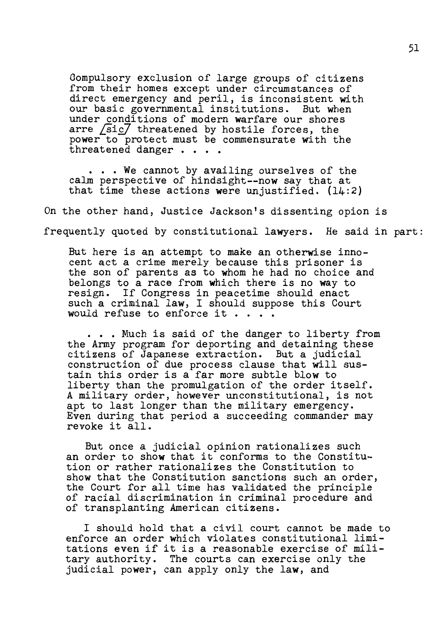Compulsory exclusion of large groups of citizens from their homes except under circumstances of direct emergency and peril, is inconsistent with our basic governmental institutions. But when under conditions of modern warfare our shores arre  $\sqrt{\text{sic}}$  threatened by hostile forces, the power to protect must be commensurate with the threatened danger . . . .

... We cannot by availing ourselves of the calm perspective of hindsight--now say that at that time these actions were unjustified.  $(14:2)$ 

On the other hand, Justice Jackson's dissenting opion is

frequently quoted by constitutional lawyers. He said in part:

But here is an attempt to make an otherwise innocent act a crime merely because this prisoner is the son of parents as to whom he had no choice and belongs to a race from which there is no way to resign. If Congress in peacetime should enact such a criminal law, I should suppose this Court<br>would refuse to enforce it . . . .

• • • Much is said of the danger to liberty from the Army program for deporting and detaining these citizens of Japanese extraction. But a judicial construction of due process clause that will sustain this order is a far more subtle blow to liberty than the promulgation of the order itself. A military order, however unconstitutional, is not apt to last longer than the military emergency. Even during that period a succeeding commander may revoke it all.

But once a judicial opinion rationalizes such an order to show that it conforms to the Constitution or rather rationalizes the Constitution to show that the Constitution sanctions such an order, the Court for all time has validated the principle of racial discrimination in criminal procedure and of transplanting American citizens.

I should hold that a civil court cannot be made to enforce an order which violates constitutional limitations even if it is a reasonable exercise of military authority. The courts can exercise only the judicial power, can apply only the law, and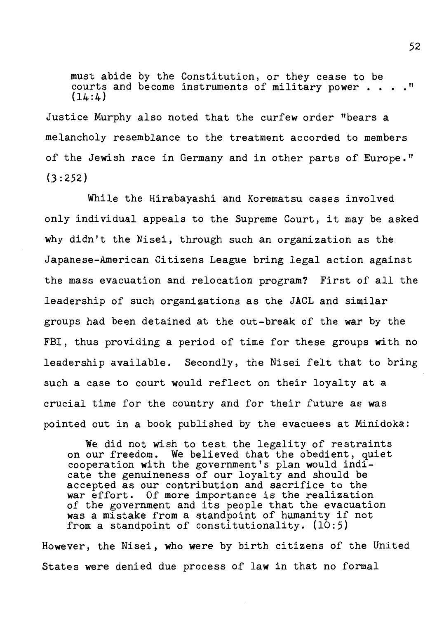must abide by the Constitution, or they cease to be must ablue by the Constitution, or they cease to be<br>courts and become instruments of military power . . . ."  $(14:4)$ 

Justice Murphy also noted that the curfew order "bears a melancholy resemblance to the treatment accorded to members of the Jewish race in Germany and in other parts of Europe." (3:252)

While the Hirabayashi and Korematsu cases involved only individual appeals to the Supreme Court, it may be asked why didn't the Nisei, through such an organization as the Japanese-American Citizens League bring legal action against the mass evacuation and relocation program? First of all the leadership of such organizations as the JACL and similar groups had been detained at the out-break of the war by the FBI, thus providing a period of time for these groups with no leadership available. Secondly, the Nisei felt that to bring such a case to court would reflect on their loyalty at a crucial time for the country and for their future as was pointed out in a book published by the evacuees at Minidoka:

We did not wish to test the legality of restraints on our freedom. We believed that the obedient, quiet cooperation with the government's plan would indicate the genuineness of our loyalty and should be accepted as our contribution and sacrifice to the war effort. Of more importance is the realization of the government and its people that the evacuation was a mistake from a standpoint of humanity if not from a standpoint of constitutionality. (10:5)

However, the Nisei, who were by birth citizens of the United States were denied due process of law in that no formal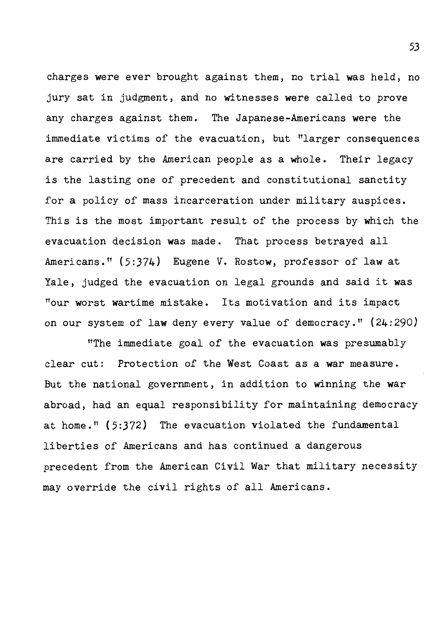charges were ever brought against them, no trial was held, no jury sat in judgment, and no witnesses were called to prove any charges against them. The Japanese-Americans were the immediate victims of the evacuation, but "larger consequences are carried by the American people as a whole. Their legacy is the lasting one of precedent and constitutional sanctity for a policy of mass incarceration under military auspices. This is the most important result of the process by which the evacuation decision was made. That process betrayed all Americans." (5:374} Eugene V. Rostow, professor of law at Yale, judged the evacuation on legal grounds and said it was "our worst wartime mistake. Its motivation and its impact on our system of law deny every value of democracy." (24:290}

"The immediate goal of the evacuation was presumably clear cut: Protection of the West Coast as a war measure. But the national government, in addition to winning the war abroad, had an equal responsibility for maintaining democracy at home." (5:372} The evacuation violated the fundamental liberties of Americans and has continued a dangerous precedent from the American Civil War that military necessity may override the civil rights of all Americans.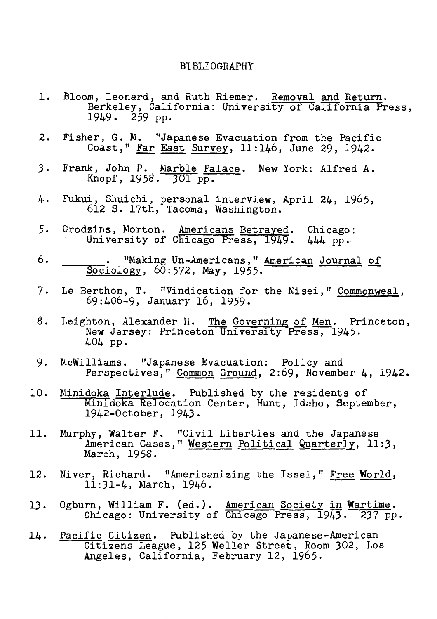#### BIBLIOGRAPHY

- 1. Bloom, Leonard, and Ruth Riemer. Removal and Return. Berkeley, California: University of California Press, 1949. 259 pp.
- 2. Fisher, G. M. "Japanese Evacuation from the Pacific Coast," Far East Survey, 11:146, June 29, 1942.
- *3.* Frank, John P. Marble Palace. New York: Alfred A. Knopf,  $1958.$  301 pp.
- 4. Fukui, Shuichi, personal interview, April 24, 1965, 612 S. 17th, Tacoma, Washington.
- 5. Grodzins, Morton. Americans Betrayed. Chicago: University of Chicago Press, 1949. 444 pp.
- 6. "Making Un-Americans," American Journal of Sociology, 60:572, May, 1955.
- 7. Le Berthon, T. "Vindication for the Nisei," Commonweal, 69:406-9, January 16, 1959.
- 8. Leighton, Alexander H. The Governing of Men. Princeton, New Jersey: Princeton University Press, 1945. 404 PP·
- 9. McWilliams. "Japanese Evacuation: Policy and Perspectives," Common Ground, 2:69, November 4, 1942.
- 10. Minidoka Interlude. Published by the residents of Minidoka Relocation Center, Hunt, Idaho, September, 1942-0ctober, 1943.
- 11. Murphy, Walter F. "Civil Liberties and the Japanese American Cases," Western Political Quarterly, 11:3, March, 1958.
- 12. Niver, Richard. "Americanizing the Issei," Free World, 11:31-4, March, 1946.
- 13. Ogburn, William F. {ed.). American Society in Wartime. Chicago: University of Chicago Press, 1943. *237* pp.
- 14. Pacific Citizen. Published by the Japanese-American Citizens League, 125 Weller Street, Room *302,* Los Angeles, California, February 12, 1965.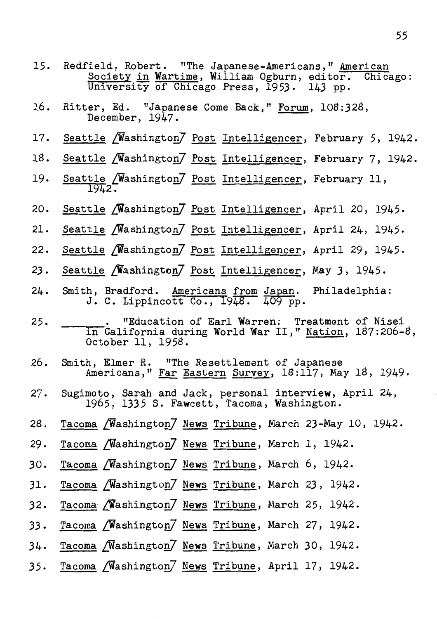- 15. Redfield, Robert. "The Japanese-Americans," American Society in Wartime, William Ogburn, editor. Chicago: University of Chicago Press, 1953. 143 pp.
- 16. Ritter, Ed. "Japanese Come Back," Forum, 108:328, December, 1947.
- 17. Seattle Washington/ Post Intelligencer, February 5, 1942.
- 18. Seattle *Nashington* Post Intelligencer, February 7, 1942.
- 19. Seattle *Nashington* Post Intelligencer, February 11, 1942.
- 20. Seattle *Nashington* Post Intelligencer, April 20, 1945.
- 21. Seattle *Nashington* Post Intelligencer, April 24, 1945.
- 22. Seattle /Washington/ Post Intelligencer, April 29, 1945.
- 23. Seattle *Nashington* Post Intelligencer, May 3, 1945.
- 24. Smith, Bradford. Americans from Japan. Philadelphia: J. C. Lippincott Co.,  $1948.$   $409$  pp.
- 25. **. "Education of Earl Warren: Treatment of Nisei** in California during World War II," Nation, 187:206-8, October 11, 1958.
- 26. Smith, Elmer R. "The Resettlement of Japanese<br>Americans," Far Eastern Survey, 18:117, May 18, 1949.
- 27. Sugimoto, Sarah and Jack, personal interview, April 24, 1965, 1335 S. Fawcett, Tacoma, Washington.
- 28. Tacoma /Washington/ News Tribune, March 23-May 10, 1942.
- 29. Tacoma *[Washington]* News Tribune, March 1, 1942.
- 30. Tacoma *[Washington]* News Tribune, March 6, 1942.
- 31. Tacoma /Washington/ News Tribune, March 23, 1942.
- 32. Tacoma /Washington/ News Tribune, March 25, 1942.
- 33. Tacoma *[Washington]* News Tribune, March 27, 1942.
- 34. Tacoma /Washington/ News Tribune, March 30, 1942.
- 35. Tacoma */Washington*/ News Tribune, April 17, 1942.